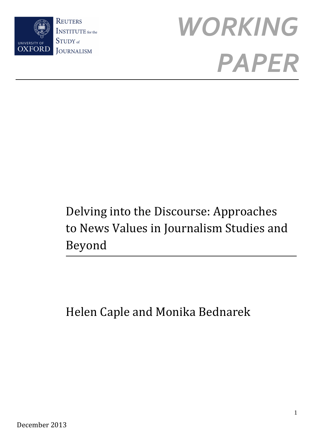



# Delving into the Discourse: Approaches to News Values in Journalism Studies and Beyond

# Helen Caple and Monika Bednarek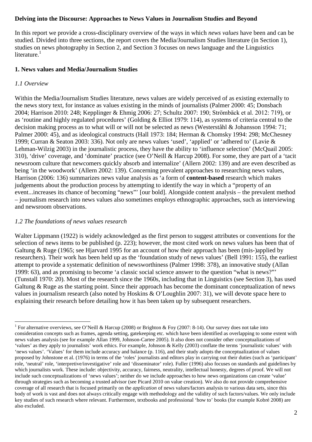# **Delving into the Discourse: Approaches to News Values in Journalism Studies and Beyond**

In this report we provide a cross-disciplinary overview of the ways in which *news values* have been and can be studied. Divided into three sections, the report covers the Media/Journalism Studies literature (in Section 1), studies on news photography in Section 2, and Section 3 focuses on news language and the Linguistics literature. $<sup>1</sup>$ </sup>

# **1. News values and Media/Journalism Studies**

# *1.1 Overview*

 $\overline{a}$ 

Within the Media/Journalism Studies literature, news values are widely perceived of as existing externally to the news story text, for instance as values existing in the minds of journalists (Palmer 2000: 45; Donsbach 2004; Harrison 2010: 248; Kepplinger & Ehmig 2006: 27; Schultz 2007: 190; Strömbäck et al. 2012: 719), or as 'routine and highly regulated procedures' (Golding & Elliot 1979: 114), as systems of criteria central to the decision making process as to what will or will not be selected as news (Westerståhl & Johansson 1994: 71; Palmer 2000: 45), and as ideological constructs (Hall 1973: 184; Herman & Chomsky 1994: 298; McChesney 1999; Curran & Seaton 2003: 336). Not only are news values 'used', 'applied' or 'adhered to' (Lavie & Lehman-Wilzig 2003) in the journalistic process, they have the ability to 'influence selection' (McQuail 2005: 310), 'drive' coverage, and 'dominate' practice (see O'Neill & Harcup 2008). For some, they are part of a 'tacit newsroom culture that newcomers quickly absorb and internalize' (Allern 2002: 139) and are even described as being 'in the woodwork' (Allern 2002: 139). Concerning prevalent approaches to researching news values, Harrison (2006: 136) summarizes news value analysis as 'a form of **content-based** research which makes judgements about the production process by attempting to identify the way in which a "property of an event...increases its chance of becoming "news"' [our bold]. Alongside content analysis – the prevalent method – journalism research into news values also sometimes employs ethnographic approaches, such as interviewing and newsroom observations.

# *1.2 The foundations of news values research*

Walter Lippmann (1922) is widely acknowledged as the first person to suggest attributes or conventions for the selection of news items to be published (p. 223); however, the most cited work on news values has been that of Galtung & Ruge (1965; see Hjarvard 1995 for an account of how their approach has been (mis-)applied by researchers). Their work has been held up as the 'foundation study of news values' (Bell 1991: 155), the earliest attempt to provide a systematic definition of newsworthiness (Palmer 1998: 378), an innovative study (Allan 1999: 63), and as promising to become 'a classic social science answer to the question "what is news?"' (Tunstall 1970: 20). Most of the research since the 1960s, including that in Linguistics (see Section 3), has used Galtung & Ruge as the starting point. Since their approach has become the dominant conceptualization of news values in journalism research (also noted by Hoskins & O'Loughlin 2007: 31), we will devote space here to explaining their research before detailing how it has been taken up by subsequent researchers.

<sup>&</sup>lt;sup>1</sup> For alternative overviews, see O'Neill & Harcup (2008) or Brighton & Foy (2007: 8-14). Our survey does not take into consideration concepts such as frames, agenda setting, gatekeeping etc. which have been identified as overlapping to some extent with news values analysis (see for example Allan 1999, Johnson-Cartee 2005). It also does not consider other conceptualizations of 'values' as they apply to journalists' work ethics. For example, Johnson & Kelly (2003) conflate the terms 'journalistic values' with 'news values'. 'Values' for them include accuracy and balance (p. 116), and their study adopts the conceptualization of values proposed by Johnstone et al. (1976) in terms of the 'roles' journalists and editors play in carrying out their duties (such as 'participant' role, 'neutral' role, 'interpretive/investigative' role and 'disseminator' role). Fuller (1996) also focuses on standards and guidelines by which journalists work. These include: objectivity, accuracy, fairness, neutrality, intellectual honesty, degrees of proof. We will not include such conceptualizations of 'news values'; neither do we include approaches to how news organizations can create 'value' through strategies such as becoming a trusted advisor (see Picard 2010 on value creation). We also do not provide comprehensive coverage of all research that is focused primarily on the *application* of news values/factors analysis to various data sets, since this body of work is vast and does not always critically engage with methodology and the validity of such factors/values. We only include key studies of such research where relevant. Furthermore, textbooks and professional 'how to' books (for example Kobré 2008) are also excluded.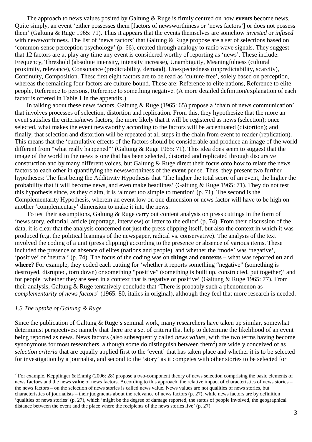The approach to news values posited by Galtung & Ruge is firmly centred on how **events** become news. Quite simply, an event 'either possesses them [factors of newsworthiness or 'news factors'] or does not possess them' (Galtung & Ruge 1965: 71). Thus it appears that the events themselves are somehow *invested* or *infused* with newsworthiness. The list of 'news factors' that Galtung & Ruge propose are a set of selections based on 'common-sense perception psychology' (p. 66), created through analogy to radio wave signals. They suggest that 12 factors are at play any time any event is considered worthy of reporting as 'news'. These include: Frequency, Threshold (absolute intensity, intensity increase), Unambiguity, Meaningfulness (cultural proximity, relevance), Consonance (predictability, demand), Unexpectedness (unpredictability, scarcity), Continuity, Composition. These first eight factors are to be read as 'culture-free', solely based on perception, whereas the remaining four factors are culture-bound. These are: Reference to elite nations, Reference to elite people, Reference to persons, Reference to something negative. (A more detailed definition/explanation of each factor is offered in Table 1 in the appendix.)

In talking about these news factors, Galtung & Ruge (1965: 65) propose a 'chain of news communication' that involves processes of selection, distortion and replication. From this, they hypothesize that the more an event satisfies the criteria/news factors, the more likely that it will be registered as news (selection); once selected, what makes the event newsworthy according to the factors will be accentuated (distortion); and finally, that selection and distortion will be repeated at all steps in the chain from event to reader (replication). This means that the 'cumulative effects of the factors should be considerable and produce an image of the world different from "what really happened"' (Galtung & Ruge 1965: 71). This idea does seem to suggest that the image of the world in the news is one that has been selected, distorted and replicated through discursive construction and by many different voices, but Galtung & Ruge direct their focus onto how to relate the news factors to each other in quantifying the newsworthiness of the **event** per se. Thus, they present two further hypotheses: The first being the Additivity Hypothesis that 'The higher the total score of an event, the higher the probability that it will become news, and even make headlines' (Galtung & Ruge 1965: 71). They do not test this hypothesis since, as they claim, it is 'almost too simple to mention' (p. 71). The second is the Complementarity Hypothesis, wherein an event low on one dimension or news factor will have to be high on another 'complementary' dimension to make it into the news.

To test their assumptions, Galtung & Ruge carry out content analysis on press cuttings in the form of 'news story, editorial, article (reportage, interview) or letter to the editor' (p. 74). From their discussion of the data, it is clear that the analysis concerned not just the press clipping itself, but also the context in which it was produced (e.g. the political leanings of the newspaper, radical vs. conservative). The analysis of the text involved the coding of a unit (press clipping) according to the presence or absence of various items. These included the presence or absence of elites (nations and people), and whether the 'mode' was 'negative', 'positive' or 'neutral' (p. 74). The focus of the coding was on **things** and **contexts** – what was reported **on** and **where**? For example, they coded each cutting for 'whether it reports something "negative" (something is destroyed, disrupted, torn down) or something "positive" (something is built up, constructed, put together)' and for people 'whether they are seen in a context that is negative or positive' (Galtung & Ruge 1965: 77). From their analysis, Galtung & Ruge tentatively conclude that 'There is probably such a phenomenon as *complementarity of news factors*' (1965: 80, italics in original), although they feel that more research is needed.

#### *1.3 The uptake of Galtung & Ruge*

l

Since the publication of Galtung & Ruge's seminal work, many researchers have taken up similar, somewhat determinist perspectives: namely that there are a set of criteria that help to determine the likelihood of an event being reported as news. News factors (also subsequently called *news values*, with the two terms having become synonymous for most researchers, although some do distinguish between them<sup>2</sup>) are widely conceived of as *selection criteria* that are equally applied first to the 'event' that has taken place and whether it is to be selected for investigation by a journalist, and second to the 'story' as it competes with other stories to be selected for

<sup>&</sup>lt;sup>2</sup> For example, Kepplinger & Ehmig (2006: 28) propose a two-component theory of news selection comprising the basic elements of news **factors** and the news **value** of news factors. According to this approach, the relative impact of characteristics of news stories – the news factors – on the selection of news stories is called news value. News values are not qualities of news stories, but characteristics of journalists – their judgments about the relevance of news factors (p. 27), while news factors are by definition 'qualities of news stories' (p. 27), which 'might be the degree of damage reported, the status of people involved, the geographical distance between the event and the place where the recipients of the news stories live' (p. 27).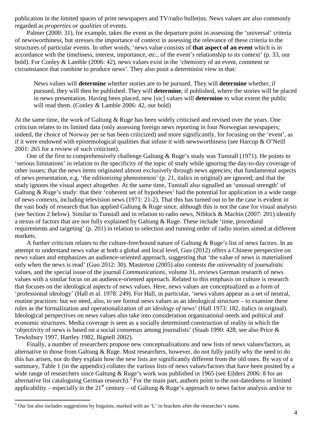publication in the limited spaces of print newspapers and TV/radio bulletins. News values are also commonly regarded as *properties or qualities* of events.

Palmer (2000: 31), for example, takes the event as the departure point in assessing the 'universal' criteria of newsworthiness, but stresses the importance of context in assessing the relevance of these criteria to the structures of particular events. In other words, 'news value consists of **that aspect of an event** which is in accordance with the timeliness, interest, importance, etc., of the event's relationship to its context' (p. 33, our bold). For Conley & Lamble (2006: 42), news values exist in the 'chemistry of an event, comment or circumstance that combine to produce news'. They also posit a determinist view in that:

News values will **determine** whether stories are to be pursued. They will **determine** whether, if pursued, they will then be published. They will **determine**, if published, where the stories will be placed in news presentation. Having been placed, new [sic] values will **determine** to what extent the public will read them. (Conley & Lamble 2006: 42, our bold)

At the same time, the work of Galtung & Ruge has been widely criticised and revised over the years. One criticism relates to its limited data (only assessing foreign news reporting in four Norwegian newspapers; indeed, the choice of Norway per se has been criticized) and more significantly, for focusing on the 'event', as if it were endowed with epistemological qualities that infuse it with newsworthiness (see Harcup & O'Neill 2001: 265 for a review of such criticism).

One of the first to comprehensively challenge Galtung & Ruge's study was Tunstall (1971). He points to 'serious limitations' in relation to the specificity of the topic of study while ignoring the day-to-day coverage of other issues; that the news items originated almost exclusively through news agencies; that fundamental aspects of news presentation, e.g. 'the *editionizing* phenomenon' (p. 21, italics in original) are ignored; and that the study ignores the visual aspect altogether. At the same time, Tunstall also signalled an 'unusual strength' of Galtung & Ruge's study: that their 'coherent set of hypotheses' had the potential for application in a wide range of news contexts, including television news (1971: 21-2). That this has turned out to be the case is evident in the vast body of research that has applied Galtung  $&$  Ruge since, although this is not the case for visual analysis (see Section 2 below). Similar to Tunstall and in relation to radio news, Niblock & Machin (2007: 201) identify a nexus of factors that are not fully explained by Galtung & Ruge. These include 'time, procedural requirements and targeting' (p. 201) in relation to selection and running order of radio stories aimed at different markets.

A further criticism relates to the culture-free/bound nature of Galtung & Ruge's list of news factors. In an attempt to understand news value at both a global and local level, Guo (2012) offers a Chinese perspective on news values and emphasizes an audience-oriented approach, suggesting that 'the value of news is materialised only when the news is read' (Guo 2012: 30). Masterton (2005) also contests the universality of journalistic values, and the special issue of the journal *Communications*, volume 31, reviews German research of news values with a similar focus on an audience-oriented approach. Related to this emphasis on culture is research that focuses on the ideological aspects of news values. Here, news values are conceptualized as a form of 'professional ideology' (Hall et al. 1978: 249). For Hall, in particular, 'news values appear as a set of neutral, routine practices: but we need, also, to see formal news values as an ideological structure – to examine these rules as the formalization and operationalization of *an ideology of news*' (Hall 1973: 182, italics in original). Ideological perspectives on news values also take into consideration organisational needs and political and economic structures. Media coverage is seen as a socially determined construction of reality in which the 'objectivity of news is based on a social consensus among journalists' (Staab 1990: 428, see also Price & Tewksbury 1997, Hartley 1982, Bignell 2002).

Finally, a number of researchers propose new conceptualisations and new lists of news values/factors, as alternative to those from Galtung & Ruge. Most researchers, however, do not fully justify why the need to do this has arisen, nor do they explain how the new lists are significantly different from the old ones. By way of a summary, Table 1 (in the appendix) collates the various lists of news values/factors that have been posited by a wide range of researchers since Galtung & Ruge's work was published in 1965 (see Eilders 2006: 8 for an alternative list cataloguing German research).<sup>3</sup> For the main part, authors point to the out-datedness or limited applicability – especially in the 21<sup>st</sup> century – of Galtung & Ruge's approach to news factor analysis and/or to

 $\overline{a}$ 

 $3$  Our list also includes suggestions by linguists, marked with an 'L' in brackets after the researcher's name.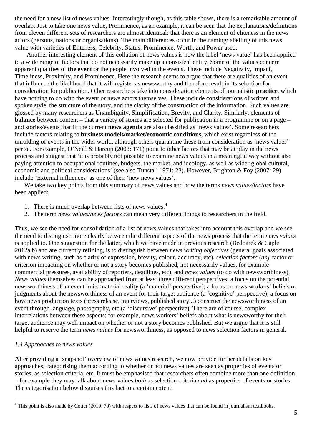the need for a new list of news values. Interestingly though, as this table shows, there is a remarkable amount of overlap. Just to take one news value, Prominence, as an example, it can be seen that the explanations/definitions from eleven different sets of researchers are almost identical: that there is an element of eliteness in the news actors (persons, nations or organisations). The main differences occur in the naming/labelling of this news value with varieties of Eliteness, Celebrity, Status, Prominence, Worth, and Power used.

Another interesting element of this collation of news values is how the label 'news value' has been applied to a wide range of factors that do not necessarily make up a consistent entity. Some of the values concern apparent qualities of **the event** or the people involved in the events. These include Negativity, Impact, Timeliness, Proximity, and Prominence. Here the research seems to argue that there are qualities of an event that influence the likelihood that it will register as newsworthy and therefore result in its selection for consideration for publication. Other researchers take into consideration elements of journalistic **practice**, which have nothing to do with the event or news actors themselves. These include considerations of written and spoken style, the structure of the story, and the clarity of the construction of the information. Such values are glossed by many researchers as Unambiguity, Simplification, Brevity, and Clarity. Similarly, elements of **balance** between content – that a variety of stories are selected for publication in a programme or on a page – and stories/events that fit the current **news agenda** are also classified as 'news values'. Some researchers include factors relating to **business models/market/economic conditions**, which exist regardless of the unfolding of events in the wider world, although others quarantine these from consideration as 'news values' per se. For example, O'Neill & Harcup (2008: 171) point to other factors that may be at play in the news process and suggest that 'it is probably not possible to examine news values in a meaningful way without also paying attention to occupational routines, budgets, the market, and ideology, as well as wider global cultural, economic and political considerations' (see also Tunstall 1971: 23). However, Brighton & Foy (2007: 29) include 'External influences' as one of their 'new news values'.

We take two key points from this summary of news values and how the terms *news values/factors* have been applied:

- 1. There is much overlap between lists of news values.<sup>4</sup>
- 2. The term *news values/news factors* can mean very different things to researchers in the field.

Thus, we see the need for consolidation of a list of news values that takes into account this overlap and we see the need to distinguish more clearly between the different aspects of the news process that the term *news values* is applied to. One suggestion for the latter, which we have made in previous research (Bednarek & Caple 2012a,b) and are currently refining, is to distinguish between *news writing objectives* (general goals associated with news writing, such as clarity of expression, brevity, colour, accuracy, etc), *selection factors* (*any* factor or criterion impacting on whether or not a story becomes published, not necessarily values, for example commercial pressures, availability of reporters, deadlines, etc), and *news values* (to do with newsworthiness). *News values* themselves can be approached from at least three different perspectives: a focus on the potential newsworthiness of an event in its material reality (a 'material' perspective); a focus on news workers' beliefs or judgments about the newsworthiness of an event for their target audience (a 'cognitive' perspective); a focus on how news production texts (press release, interviews, published story...) construct the newsworthiness of an event through language, photography, etc (a 'discursive' perspective). There are of course, complex interrelations between these aspects: for example, news workers' beliefs about what is newsworthy for their target audience may well impact on whether or not a story becomes published. But we argue that it is still helpful to reserve the term *news values* for newsworthiness, as opposed to news selection factors in general.

# *1.4 Approaches to news values*

 $\overline{a}$ 

After providing a 'snapshot' overview of news values research, we now provide further details on key approaches, categorising them according to whether or not news values are seen as properties of events or stories, as selection criteria, etc. It must be emphasised that researchers often combine more than one definition – for example they may talk about news values *both* as selection criteria *and* as properties of events or stories. The categorisation below disguises this fact to a certain extent.

 $4$  This point is also made by Cotter (2010: 70) with respect to lists of news values that can be found in journalism textbooks.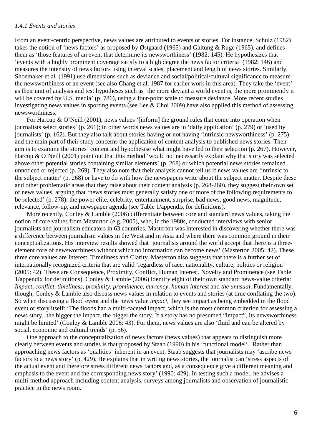#### *1.4.1 Events and stories*

From an event-centric perspective, news values are attributed to events or stories. For instance, Schulz (1982) takes the notion of 'news factors' as proposed by Østgaard (1965) and Galtung & Ruge (1965), and defines them as 'those features of an event that determine its newsworthiness' (1982: 145). He hypothesizes that 'events with a highly prominent coverage satisfy to a high degree the news factor criteria' (1982: 146) and measures the intensity of news factors using interval scales, placement and length of news stories. Similarly, Shoemaker et al. (1991) use dimensions such as deviance and social/political/cultural significance to measure the newsworthiness of an event (see also Chang et al. 1987 for earlier work in this area). They take the 'event' as their unit of analysis and test hypotheses such as 'the more deviant a world event is, the more prominently it will be covered by U.S. media' (p. 786), using a four-point scale to measure deviance. More recent studies investigating news values in sporting events (see Lee & Choi 2009) have also applied this method of assessing newsworthiness.

For Harcup & O'Neill (2001), news values '[inform] the ground rules that come into operation when journalists select stories' (p. 261); in other words news values are in 'daily application' (p. 279) or 'used by journalists' (p. 162). But they also talk about stories having or not having 'intrinsic newsworthiness' (p. 275) and the main part of their study concerns the application of content analysis to published news stories. Their aim is to examine the stories' content and hypothesise what might have led to their selection (p. 267). However, Harcup & O'Neill (2001) point out that this method 'would not necessarily explain why that story was selected above other potential stories containing similar elements' (p. 268) or which potential news stories remained unnoticed or rejected (p. 269). They also note that their analysis cannot tell us if news values are 'intrinsic to the subject matter' (p. 268) or have to do with how the newspapers write about the subject matter. Despite these and other problematic areas that they raise about their content analysis (p. 268-260), they suggest their own set of news values, arguing that 'news stories must generally satisfy one or more of the following requirements to be selected' (p. 278): the power elite, celebrity, entertainment, surprise, bad news, good news, magnitude, relevance, follow-up, and newspaper agenda (see Table 1/appendix for definitions).

More recently, Conley & Lamble (2006) differentiate between core and standard news values, taking the notion of core values from Masterton (e.g. 2005), who, in the 1980s, conducted interviews with senior journalists and journalism educators in 63 countries. Masterton was interested in discovering whether there was a difference between journalism values in the West and in Asia and where there was common ground in their conceptualizations. His interview results showed that 'journalists around the world accept that there is a threeelement core of newsworthiness without which no information can become news' (Masterton 2005: 42). These three core values are Interest, Timeliness and Clarity. Masterton also suggests that there is a further set of internationally recognized criteria that are valid 'regardless of race, nationality, culture, politics or religion' (2005: 42). These are Consequence, Proximity, Conflict, Human Interest, Novelty and Prominence (see Table 1/appendix for definitions). Conley & Lamble (2006) identify eight of their own standard news-value criteria: *Impact, conflict, timeliness, proximity, prominence, currency, human interest* and *the unusual*. Fundamentally, though, Conley & Lamble also discuss news values in relation to events and stories (at time conflating the two). So when discussing a flood event and the news value *impact*, they see impact as being embedded in the flood event or story itself: 'The floods had a multi-faceted impact, which is the most common criterion for assessing a news story...the bigger the impact, the bigger the story. If a story has no presumed "impact", its newsworthiness might be limited' (Conley & Lamble 2006: 43). For them, news values are also 'fluid and can be altered by social, economic and cultural trends' (p. 56).

One approach to the conceptualization of news factors (news values) that appears to distinguish more clearly between events and stories is that proposed by Staab (1990) in his 'functional model'. Rather than approaching news factors as 'qualities' inherent in an event, Staab suggests that journalists may 'ascribe news factors to a news story' (p. 429). He explains that in writing news stories, the journalist can 'stress aspects of the actual event and therefore stress different news factors and, as a consequence give a different meaning and emphasis to the event and the corresponding news story' (1990: 429). In testing such a model, he advises a multi-method approach including content analysis, surveys among journalists and observation of journalistic practice in the news room.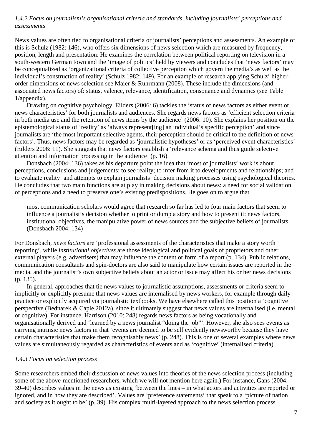# *1.4.2 Focus on journalism's organisational criteria and standards, including journalists' perceptions and assessments*

News values are often tied to organisational criteria or journalists' perceptions and assessments. An example of this is Schulz (1982: 146), who offers six dimensions of news selection which are measured by frequency, position, length and presentation. He examines the correlation between political reporting on television in a south-western German town and the 'image of politics' held by viewers and concludes that 'news factors' may be conceptualized as 'organizational criteria of collective perception which govern the media's as well as the individual's construction of reality' (Schulz 1982: 149). For an example of research applying Schulz' higherorder dimensions of news selection see Maier & Ruhrmann (2008). These include the dimensions (and associated news factors) of: status, valence, relevance, identification, consonance and dynamics (see Table 1/appendix).

 Drawing on cognitive psychology, Eilders (2006: 6) tackles the 'status of news factors as either event or news characteristics' for both journalists and audiences. She regards news factors as 'efficient selection criteria in both media use and the retention of news items by the audience' (2006: 10). She explains her position on the epistemological status of 'reality' as 'always represent[ing] an individual's specific perception' and since journalists are 'the most important selective agents, their perception should be critical to the definition of news factors'. Thus, news factors may be regarded as 'journalistic hypotheses' or as 'perceived event characteristics' (Eilders 2006: 11). She suggests that news factors establish a 'relevance schema and thus guide selective attention and information processing in the audience' (p. 16).

Donsbach (2004: 136) takes as his departure point the idea that 'most of journalists' work is about perceptions, conclusions and judgements: to see reality; to infer from it to developments and relationships; and to evaluate reality' and attempts to explain journalists' decision making processes using psychological theories. He concludes that two main functions are at play in making decisions about news: a need for social validation of perceptions and a need to preserve one's existing predispositions. He goes on to argue that

most communication scholars would agree that research so far has led to four main factors that seem to influence a journalist's decision whether to print or dump a story and how to present it: news factors, institutional objectives, the manipulative power of news sources and the subjective beliefs of journalists. (Donsbach 2004: 134)

For Donsbach, *news factors* are 'professional assessments of the characteristics that make a story worth reporting', while *institutional objectives* are those ideological and political goals of proprietors and other external players (e.g. advertisers) that may influence the content or form of a report (p. 134). Public relations, communication consultants and spin-doctors are also said to manipulate how certain issues are reported in the media, and the journalist's own subjective beliefs about an actor or issue may affect his or her news decisions (p. 135).

In general, approaches that tie news values to journalistic assumptions, assessments or criteria seem to implicitly or explicitly presume that news values are internalised by news workers, for example through daily practice or explicitly acquired via journalistic textbooks. We have elsewhere called this position a 'cognitive' perspective (Bednarek & Caple 2012a), since it ultimately suggest that news values are internalised (i.e. mental or cognitive). For instance, Harrison (2010: 248) regards news factors as being vocationally and organisationally derived and 'learned by a news journalist "doing the job"'. However, she also sees events as carrying intrinsic news factors in that 'events are deemed to be self evidently newsworthy because they have certain characteristics that make them recognisably news' (p. 248). This is one of several examples where news values are simultaneously regarded as characteristics of events and as 'cognitive' (internalised criteria).

# *1.4.3 Focus on selection process*

Some researchers embed their discussion of news values into theories of the news selection process (including some of the above-mentioned researchers, which we will not mention here again.) For instance, Gans (2004: 39-40) describes values in the news as existing 'between the lines – in what actors and activities are reported or ignored, and in how they are described'. Values are 'preference statements' that speak to a 'picture of nation and society as it ought to be' (p. 39). His complex multi-layered approach to the news selection process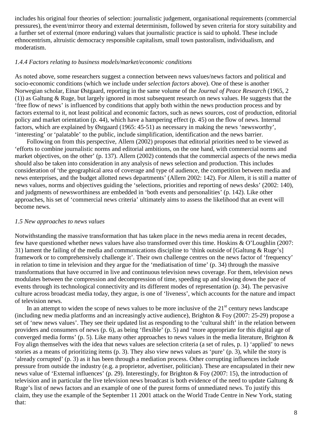includes his original four theories of selection: journalistic judgement, organisational requirements (commercial pressures), the event/mirror theory and external determinism, followed by seven criteria for story suitability and a further set of external (more enduring) values that journalistic practice is said to uphold. These include ethnocentrism, altruistic democracy responsible capitalism, small town pastoralism, individualism, and moderatism.

#### *1.4.4 Factors relating to business models/market/economic conditions*

As noted above, some researchers suggest a connection between news values/news factors and political and socio-economic conditions (which we include under *selection factors* above). One of these is another Norwegian scholar, Einar Østgaard, reporting in the same volume of the *Journal of Peace Research* (1965, 2 (1)) as Galtung & Ruge, but largely ignored in most subsequent research on news values. He suggests that the 'free flow of news' is influenced by conditions that apply both within the news production process and by factors external to it, not least political and economic factors, such as news sources, cost of production, editorial policy and market orientation (p. 44), which have a hampering effect (p. 45) on the flow of news. Internal factors, which are explained by Østgaard (1965: 45-51) as necessary in making the news 'newsworthy', 'interesting' or 'palatable' to the public, include simplification, identification and the news barrier.

Following on from this perspective, Allern (2002) proposes that editorial priorities need to be viewed as 'efforts to combine journalistic norms and editorial ambitions, on the one hand, with commercial norms and market objectives, on the other' (p. 137). Allern (2002) contends that the commercial aspects of the news media should also be taken into consideration in any analysis of news selection and production. This includes consideration of 'the geographical area of coverage and type of audience, the competition between media and news enterprises, and the budget allotted news departments' (Allern 2002: 142). For Allern, it is still a matter of news values, norms and objectives guiding the 'selections, priorities and reporting of news desks' (2002: 140), and judgments of newsworthiness are embedded in 'both events and personalities' (p. 142). Like other approaches, his set of 'commercial news criteria' ultimately aims to assess the likelihood that an event will become news.

#### *1.5 New approaches to news values*

Notwithstanding the massive transformation that has taken place in the news media arena in recent decades, few have questioned whether news values have also transformed over this time. Hoskins & O'Loughlin (2007: 31) lament the failing of the media and communications discipline to 'think outside of [Galtung & Ruge's] framework or to comprehensively challenge it'. Their own challenge centres on the news factor of 'frequency' in relation to time in television and they argue for the 'mediatisation of time' (p. 34) through the massive transformations that have occurred in live and continuous television news coverage. For them, television news modulates between the compression and decompression of time, speeding up and slowing down the pace of events through its technological connectivity and its different modes of representation (p. 34). The pervasive culture across broadcast media today, they argue, is one of 'liveness', which accounts for the nature and impact of television news.

In an attempt to widen the scope of news values to be more inclusive of the  $21<sup>st</sup>$  century news landscape (including new media platforms and an increasingly active audience), Brighton & Foy (2007: 25-29) propose a set of 'new news values'. They see their updated list as responding to the 'cultural shift' in the relation between providers and consumers of news (p. 6), as being 'flexible' (p. 5) and 'more appropriate for this digital age of converged media forms' (p. 5). Like many other approaches to news values in the media literature, Brighton & Foy align themselves with the idea that news values are selection criteria (a set of rules, p. 1) 'applied' to news stories as a means of prioritizing items (p. 3). They also view news values as 'pure' (p. 3), while the story is 'already corrupted' (p. 3) as it has been through a mediation process. Other corrupting influences include pressure from outside the industry (e.g. a proprietor, advertiser, politician). These are encapsulated in their new news value of 'External influences' (p. 29). Interestingly, for Brighton & Foy (2007: 15), the introduction of television and in particular the live television news broadcast is both evidence of the need to update Galtung & Ruge's list of news factors and an example of one of the purest forms of unmediated news. To justify this claim, they use the example of the September 11 2001 attack on the World Trade Centre in New York, stating that: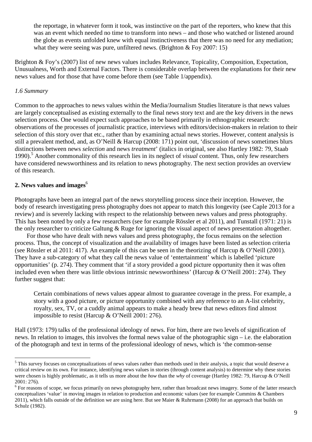the reportage, in whatever form it took, was instinctive on the part of the reporters, who knew that this was an event which needed no time to transform into news – and those who watched or listened around the globe as events unfolded knew with equal instinctiveness that there was no need for any mediation; what they were seeing was pure, unfiltered news. (Brighton  $&$  Foy 2007: 15)

Brighton & Foy's (2007) list of new news values includes Relevance, Topicality, Composition, Expectation, Unusualness, Worth and External Factors. There is considerable overlap between the explanations for their new news values and for those that have come before them (see Table 1/appendix).

# *1.6 Summary*

 $\overline{a}$ 

Common to the approaches to news values within the Media/Journalism Studies literature is that news values are largely conceptualised as existing externally to the final news story text and are the key drivers in the news selection process. One would expect such approaches to be based primarily in ethnographic research: observations of the processes of journalistic practice, interviews with editors/decision-makers in relation to their selection of this story over that etc., rather than by examining actual news stories. However, content analysis is still a prevalent method, and, as O'Neill & Harcup (2008: 171) point out, 'discussion of news sometimes blurs distinctions between news *selection* and news *treatment*' (italics in original, see also Hartley 1982: 79, Staab 1990).<sup>5</sup> Another commonality of this research lies in its neglect of *visual* content. Thus, only few researchers have considered newsworthiness and its relation to news photography. The next section provides an overview of this research.

# **2. News values and images**<sup>6</sup>

Photographs have been an integral part of the news storytelling process since their inception. However, the body of research investigating press photography does not appear to match this longevity (see Caple 2013 for a review) and is severely lacking with respect to the relationship between news values and press photography. This has been noted by only a few researchers (see for example Rössler et al 2011), and Tunstall (1971: 21) is the only researcher to criticize Galtung & Ruge for ignoring the visual aspect of news presentation altogether.

For those who have dealt with news values and press photography, the focus remains on the selection process. Thus, the concept of visualization and the availability of images have been listed as selection criteria (see Rössler et al 2011: 417). An example of this can be seen in the theorizing of Harcup & O'Neill (2001). They have a sub-category of what they call the news value of 'entertainment' which is labelled 'picture opportunities' (p. 274). They comment that 'if a story provided a good picture opportunity then it was often included even when there was little obvious intrinsic newsworthiness' (Harcup & O'Neill 2001: 274). They further suggest that:

Certain combinations of news values appear almost to guarantee coverage in the press. For example, a story with a good picture, or picture opportunity combined with any reference to an A-list celebrity, royalty, sex, TV, or a cuddly animal appears to make a heady brew that news editors find almost impossible to resist (Harcup & O'Neill 2001: 276).

Hall (1973: 179) talks of the professional ideology of news. For him, there are two levels of signification of news. In relation to images, this involves the formal news value of the photographic sign – i.e. the elaboration of the photograph and text in terms of the professional ideology of news, which is 'the common-sense

<sup>&</sup>lt;sup>5</sup> This survey focuses on conceptualizations of news values rather than methods used in their analysis, a topic that would deserve a critical review on its own. For instance, identifying news values in stories (through content analysis) to determine why these stories were chosen is highly problematic, as it tells us more about the *how* than the *why* of coverage (Hartley 1982: 79, Harcup & O'Neill 2001: 276).

 $6$  For reasons of scope, we focus primarily on news photography here, rather than broadcast news imagery. Some of the latter research conceptualizes 'value' in moving images in relation to production and economic values (see for example Cummins & Chambers 2011), which falls outside of the definition we are using here. But see Maier & Ruhrmann (2008) for an approach that builds on Schulz (1982).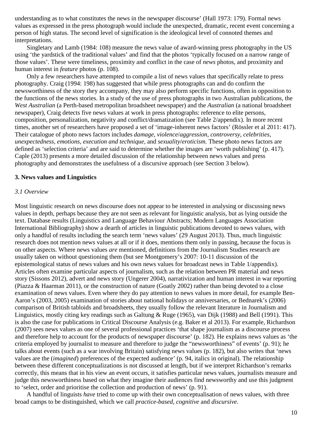understanding as to what constitutes the news in the newspaper discourse' (Hall 1973: 179). Formal news values as expressed in the press photograph would include the unexpected, dramatic, recent event concerning a person of high status. The second level of signification is the ideological level of connoted themes and interpretations.

Singletary and Lamb (1984: 108) measure the news value of award-winning press photography in the US using 'the yardstick of the traditional values' and find that the photos 'typically focused on a narrow range of those values'. These were timeliness, proximity and conflict in the case of *news* photos, and proximity and human interest in *feature* photos (p. 108).

Only a few researchers have attempted to compile a list of news values that specifically relate to press photography. Craig (1994: 198) has suggested that while press photographs can and do confirm the newsworthiness of the story they accompany, they may also perform specific functions, often in opposition to the functions of the news stories. In a study of the use of press photographs in two Australian publications, the *West Australian* (a Perth-based metropolitan broadsheet newspaper) and the *Australian* (a national broadsheet newspaper), Craig detects five news values at work in press photographs: reference to elite persons, composition, personalization, negativity and conflict/dramatization (see Table 2/appendix). In more recent times, another set of researchers have proposed a set of 'image-inherent news factors' (Rössler et al 2011: 417). Their catalogue of photo news factors includes *damage, violence*/*aggression, controversy, celebrities, unexpectedness, emotions, execution and technique,* and *sexuality*/*eroticism.* These photo news factors are defined as 'selection criteria' and are said to determine whether the images are 'worth publishing' (p. 417). Caple (2013) presents a more detailed discussion of the relationship between news values and press photography and demonstrates the usefulness of a discursive approach (see Section 3 below).

#### **3. News values and Linguistics**

#### *3.1 Overview*

Most linguistic research on news discourse does not appear to be interested in analysing or discussing news values in depth, perhaps because they are not seen as relevant for linguistic analysis, but as lying outside the text. Database results (Linguistics and Language Behaviour Abstracts; Modern Languages Association International Bibliography) show a dearth of articles in linguistic publications devoted to news values, with only a handful of results including the search term 'news values' (29 August 2013). Thus, much linguistic research does not mention news values at all or if it does, mentions them only in passing, because the focus is on other aspects. Where news values *are* mentioned, definitions from the Journalism Studies research are usually taken on without questioning them (but see Montgomery's 2007: 10-11 discussion of the epistemological status of news values and his own news values for broadcast news in Table 1/appendix). Articles often examine particular aspects of journalism, such as the relation between PR material and news story (Sissons 2012), advert and news story (Ungerer 2004), narrativization and human interest in war reporting (Piazza & Haarman 2011), or the construction of nature (Goatly 2002) rather than being devoted to a close examination of news values. Even where they do pay attention to news values in more detail, for example Ben-Aaron's (2003, 2005) examination of stories about national holidays or anniversaries, or Bednarek's (2006) comparison of British tabloids and broadsheets, they usually follow the relevant literature in Journalism and Linguistics, mostly citing key readings such as Galtung & Ruge (1965), van Dijk (1988) and Bell (1991). This is also the case for publications in Critical Discourse Analysis (e.g. Baker et al 2013). For example, Richardson (2007) sees news values as one of several professional practices 'that shape journalism as a discourse process and therefore help to account for the products of newspaper discourse' (p. 182). He explains news values as 'the criteria employed by journalist to measure and therefore to judge the "newsworthiness" of events' (p. 91); he talks about events (such as a war involving Britain) satisfying news values (p. 182), but also writes that 'news values are the (*imagined*) preferences of the expected audience' (p. 94, italics in original). The relationship between these different conceptualizations is not discussed at length, but if we interpret Richardson's remarks correctly, this means that in his view an event occurs, it satisfies particular news values, journalists measure and judge this newsworthiness based on what they imagine their audiences find newsworthy and use this judgment to 'select, order and prioritise the collection and production of news' (p. 91).

A handful of linguists *have* tried to come up with their own conceptualisation of news values, with three broad camps to be distinguished, which we call *practice-based*, *cognitive* and *discursive*.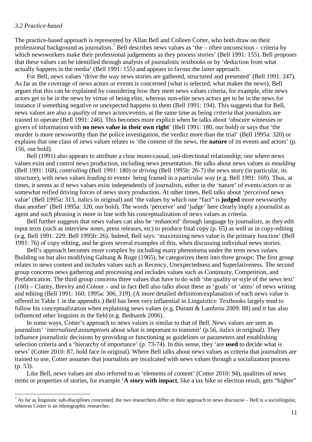#### *3.2 Practice-based*

 $\overline{a}$ 

The practice-based approach is represented by Allan Bell and Colleen Cotter, who both draw on their professional background as journalists.<sup>7</sup> Bell describes news values as 'the – often unconscious – criteria by which newsworkers make their professional judgements as they process stories' (Bell 1991: 155). Bell proposes that these values can be identified through analysis of journalistic textbooks or by 'deduction from what actually happens in the media' (Bell 1991: 155) and appears to favour the latter approach.

For Bell, news values 'drive the way news stories are gathered, structured and presented' (Bell 1991: 247). As far as the coverage of news actors or events is concerned (what is selected, what makes the news), Bell argues that this can be explained by considering how they meet news values criteria, for example, elite news actors get to be in the news by virtue of being elite, whereas non-elite news actors get to be in the news for instance if something negative or unexpected happens to them (Bell 1991: 194). This suggests that for Bell, news values are also a *quality* of news actors/events, at the same time as being *criteria* that journalists are trained to operate (Bell 1991: 246). This becomes more explicit when he talks about 'obscure witnesses or givers of information with **no news value in their own right**' (Bell 1991: 180, our bold) or says that 'the murder is more newsworthy than the police investigation, the verdict more than the trial' (Bell 1995a: 320) or explains that one class of news values relates to 'the content of the news, the **nature** of its events and actors' (p. 156, our bold).

Bell (1991) also appears to attribute a clear mono-causal, uni-directional relationship; one where news values exist and control news production, including news presentation. He talks about news values as *moulding* (Bell 1991: 168), *controlling* (Bell 1991: 180) or *driving* (Bell 1995b: 26-7) the news story (in particular, its structure), with news values *leading to* events being framed in a particular way (e.g. Bell 1991: 169). Thus, at times, it seems as if news values exist independently of journalists, either in the 'nature' of events/actors or as somewhat reified driving forces of news story production. At other times, Bell talks about '*perceived* news value' (Bell 1995a: 313, italics in original) and 'the values by which one "fact" is **judged** more newsworthy than another' (Bell 1995a: 320, our bold). The words 'perceive' and 'judge' here clearly imply a journalist as agent and such phrasing is more in line with his conceptualization of news values as criteria.

Bell further suggests that news values can also be 'enhanced' through language by journalists, as they edit input texts (such as interview notes, press releases, etc) to produce final copy (p. 65) as well as in copy-editing (e.g. Bell 1991: 229; Bell 1995b: 26). Indeed, Bell says: 'maximizing news value is the primary function' (Bell 1991: 76) of copy editing, and he gives several examples of this, when discussing individual news stories.

Bell's approach becomes more complex by including many phenomena under the term *news values.* Building on but also modifying Galtung & Ruge (1965), he categorizes them into three groups: The first group relates to news content and includes values such as Recency, Unexpectedness and Superlativeness. The second group concerns news gathering and processing and includes values such as Continuity, Competition, and Prefabrication. The third group concerns three values that have to do with 'the quality or style of the news text' (160) – Clarity, Brevity and Colour – and in fact Bell also talks about these as 'goals' or 'aims' of news writing and editing (Bell 1991: 160; 1995a: 306, 319). (A more detailed definition/explanation of each news value is offered in Table 1 in the appendix.) Bell has been very influential in Linguistics: Textbooks largely tend to follow his conceptualization when explaining news values (e.g. Durant & Lambrou 2009: 88) and it has also influenced other linguists in the field (e.g. Bednarek 2006).

In some ways, Cotter's approach to news values is similar to that of Bell. News values are seen as journalists' '*internalized assumptions* about what is important to transmit' (p.56, italics in original). They influence journalistic decisions by providing or functioning as guidelines or parameters and establishing selection criteria and a 'hierarchy of importance' (p. 73-74). In this sense, they 'are **used** to decide what is news' (Cotter 2010: 87, bold face in original). Where Bell talks about news values as criteria that journalists are trained to use, Cotter assumes that journalists are inculcated with news values through a socialization process (p. 53).

Like Bell, news values are also referred to as 'elements of content' (Cotter 2010: 94), qualities of news items or properties of stories, for example '**A story with impact**, like a tax hike or election result, gets "higher"

 $<sup>7</sup>$  As far as linguistic sub-disciplines concerned, the two researchers differ in their approach to news discourse – Bell is a sociolinguist,</sup> whereas Cotter is an ethnographic researcher.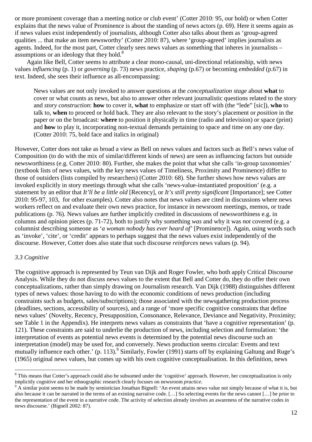or more prominent coverage than a meeting notice or club event' (Cotter 2010: 95, our bold) or when Cotter explains that the news value of Prominence is about the standing of news actors (p. 69). Here it seems again as if news values exist independently of journalists, although Cotter also talks about them as 'group-agreed qualities ... that make an item newsworthy' (Cotter 2010: 87), where 'group-agreed' implies journalists as agents. Indeed, for the most part, Cotter clearly sees news values as something that inheres in journalists – assumptions or an ideology that they hold. $8$ 

Again like Bell, Cotter seems to attribute a clear mono-causal, uni-directional relationship, with news values *influencing* (p. 1) or *governing* (p. 73) news practice, *shaping* (p.67) or becoming *embedded* (p.67) in text. Indeed, she sees their influence as all-encompassing:

News values are not only invoked to answer questions at the *conceptualization stage* about **what** to cover or what counts as news, but also to answer other relevant journalistic questions related to the story and *story construction*: **how** to cover it, **what** to emphasize or start off with (the "lede" [sic]), **who** to talk to, **when** to proceed or hold back. They are also relevant to the story's placement or *position* in the paper or on the broadcast: **where** to position it physically in time (radio and television) or space (print) and **how** to play it, incorporating non-textual demands pertaining to space and time on any one day. (Cotter 2010: 75, bold face and italics in original)

However, Cotter does not take as broad a view as Bell on news values and factors such as Bell's news value of Composition (to do with the mix of similar/different kinds of news) are seen as influencing factors but outside newsworthiness (e.g. Cotter 2010: 80). Further, she makes the point that what she calls 'in-group taxonomies' (textbook lists of news values, with the key news values of Timeliness, Proximity and Prominence) differ to those of outsiders (lists compiled by researchers) (Cotter 2010: 68). She further shows how news values are invoked explicitly in story meetings through what she calls 'news-value-instantiated proposition' (e.g. a statement by an editor that *It'll be a little old* [Recency], or *It's still pretty significant* [Importance]; see Cotter 2010: 95-97, 103, for other examples). Cotter also notes that news values are cited in discussions where news workers reflect on and evaluate their own news practice, for instance in newsroom meetings, memos, or trade publications (p. 76). News values are further implicitly credited in discussions of newsworthiness e.g. in columns and opinion pieces (p. 71-72), both to justify why something *was* and why it was *not* covered (e.g. a columnist describing someone as '*a woman nobody has ever heard of'* [Prominence]). Again, using words such as 'invoke', 'cite', or 'credit' appears to perhaps suggest that the news values exist independently of the discourse. However, Cotter does also state that such discourse *reinforces* news values (p. 94).

#### *3.3 Cognitive*

l

The cognitive approach is represented by Teun van Dijk and Roger Fowler, who both apply Critical Discourse Analysis. While they do not discuss news values to the extent that Bell and Cotter do, they do offer their own conceptualizations, rather than simply drawing on Journalism research. Van Dijk (1988) distinguishes different types of news values: those having to do with the economic conditions of news production (including constraints such as budgets, sales/subscriptions); those associated with the newsgathering production process (deadlines, sections, accessibility of sources), and a range of 'more specific cognitive constraints that define news values' (Novelty, Recency, Presupposition, Consonance, Relevance, Deviance and Negativity, Proximity; see Table 1 in the Appendix). He interprets news values as constraints that 'have a cognitive representation' (p. 121). These constraints are said to underlie the production of news, including selection and formulation: 'the interpretation of events as potential news events is determined by the potential news discourse such an interpretation (model) may be used for, and conversely. News production seems circular: Events and text mutually influence each other.' (p. 113).<sup>9</sup> Similarly, Fowler (1991) starts off by explaining Galtung and Ruge's (1965) original news values, but comes up with his own cognitive conceptualisation. In this definition, news

<sup>&</sup>lt;sup>8</sup> This means that Cotter's approach could also be subsumed under the 'cognitive' approach. However, her conceptualization is only implicitly cognitive and her ethnographic research clearly focuses on newsroom *practice*.

 $9 \text{ A similar point seems to be made by semiotician Jonathan Bignell: 'An event attains news value not simply because of what it is, but$ also because it can be narrated in the terms of an existing narrative code. […] So selecting events for the news cannot […] be prior to the representation of the event in a narrative code. The activity of selection already involves an awareness of the narrative codes in news discourse.' (Bignell 2002: 87).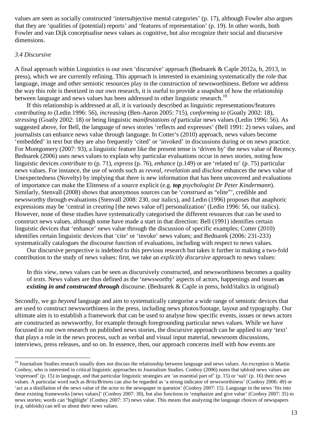values are seen as socially constructed 'intersubjective mental categories' (p. 17), although Fowler also argues that they are 'qualities of (potential) reports' and 'features of representation' (p. 19). In other words, both Fowler and van Dijk conceptualise news values as cognitive, but also recognize their social and discursive dimensions.

#### *3.4 Discursive*

 $\overline{a}$ 

A final approach within Linguistics is our own 'discursive' approach (Bednarek & Caple 2012a, b, 2013, in press), which we are currently refining. This approach is interested in examining systematically the role that language, image and other semiotic resources play in the construction of newsworthiness. Before we address the way this role is theorized in our own research, it is useful to provide a snapshot of how the relationship between language and news values has been addressed in other linguistic research.<sup>10</sup>

If this relationship is addressed at all, it is variously described as linguistic representations/features *contributing to* (Ledin 1996: 56), *increasing* (Ben-Aaron 2005: 715), *conforming to* (Goatly 2002: 18), *stressing* (Goatly 2002: 18) or being linguistic *manifestations of* particular news values (Ledin 1996: 56). As suggested above, for Bell, the language of news stories 'reflects and expresses' (Bell 1991: 2) news values, and journalists can enhance news value through language. In Cotter's (2010) approach, news values become 'embedded' in text but they are also frequently 'cited' or 'invoked' in discussions during or on news practice. For Montgomery (2007: 93), a linguistic feature like the present tense is 'driven by' the news value of Recency. Bednarek (2006) uses news values to explain why particular evaluations occur in news stories, noting how linguistic devices *contribute to* (p. 71), *express* (p. 76), *enhance* (p.149) or are 'related to' (p. 75) particular news values. For instance, the use of words such as *reveal*, *revelation* and *disclose* enhances the news value of Unexpectedness (Novelty) by implying that there is new information that has been uncovered and evaluations of importance can make the Eliteness of a source explicit (e.g. *top psychologist Dr Peter Kindermann*). Similarly, Stenvall (2008) shows that anonymous sources can be '*construed* as "elite"', credible and newsworthy through evaluations (Stenvall 2008: 230, our italics), and Ledin (1996) proposes that anaphoric expressions may be 'central in *creating* [the news value of] personalization' (Ledin 1996: 56, our italics). However, none of these studies have systematically categorised the different resources that can be used to construct news values, although some have made a start in that direction: Bell (1991) identifies certain linguistic devices that 'enhance' news value through the discussion of specific examples; Cotter (2010) identifies certain linguistic devices that 'cite' or 'invoke' news values; and Bednarek (2006: 231-233) systematically catalogues the discourse function of evaluations, including with respect to news values.

Our discursive perspective is indebted to this previous research but takes it further in making a two-fold contribution to the study of news values: first, we take an *explicitly discursive* approach to news values:

In this view, news values can be seen as discursively constructed, and newsworthiness becomes a quality of *texts*. News values are thus defined as the 'newsworthy' aspects of actors, happenings and issues *as existing in and constructed through* discourse. (Bednarek & Caple in press, bold/italics in original)

Secondly, we go *beyond* language and aim to systematically categorise a wide range of semiotic devices that are used to construct newsworthiness in the press, including news photos/footage, layout and typography. Our ultimate aim is to establish a framework that can be used to analyse how specific events, issues or news actors are constructed as newsworthy, for example through foregrounding particular news values. While we have focussed in our own research on published news stories, the discursive approach can be applied to any 'text' that plays a role in the news process, such as verbal and visual input material, newsroom discussions, interviews, press releases, and so on. In essence, then, our approach concerns itself with *how* events are

<sup>&</sup>lt;sup>10</sup> Journalism Studies research usually does not discuss the relationship between language and news values. An exception is Martin Conboy, who is interested in critical linguistic approaches to Journalism Studies. Conboy (2006) notes that tabloid news values are 'expressed' (p. 15) in language, and that particular linguistic strategies are 'an essential part of' (p. 15) or 'suit' (p. 16) their news values. A particular word such as *Brits/Britons* can also be regarded as 'a strong indicator of newsworthiness' (Conboy 2006: 49) or 'act as a distillation of the news value of the actor to the newspaper in question' (Conboy 2007: 15). Language in the news 'fits into these existing frameworks [news values]' (Conboy 2007: 30), but also functions to 'emphasize and give value' (Conboy 2007: 35) to news stories; words can 'highlight' (Conboy 2007: 37) news value. This means that analyzing the language choices of newspapers (e.g. tabloids) can tell us about their news values.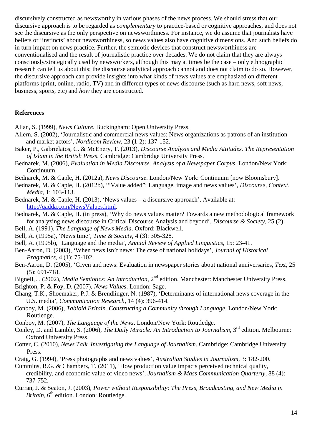discursively constructed as newsworthy in various phases of the news process. We should stress that our discursive approach is to be regarded as *complementary* to practice-based or cognitive approaches, and does not see the discursive as the only perspective on newsworthiness. For instance, we do assume that journalists have beliefs or 'instincts' about newsworthiness, so news values also have cognitive dimensions. And such beliefs do in turn impact on news practice. Further, the semiotic devices that construct newsworthiness are conventionalised and the result of journalistic practice over decades. We do not claim that they are always consciously/strategically used by newsworkers, although this may at times be the case – only ethnographic research can tell us about this; the discourse analytical approach cannot and does not claim to do so. However, the discursive approach can provide insights into what kinds of news values are emphasized on different platforms (print, online, radio, TV) and in different types of news discourse (such as hard news, soft news, business, sports, etc) and *how* they are constructed.

#### **References**

Allan, S. (1999), *News Culture*. Buckingham: Open University Press.

- Allern, S. (2002), 'Journalistic and commercial news values: News organizations as patrons of an institution and market actors', *Nordicom Review*, 23 (1-2): 137-152.
- Baker, P., Gabrielatos, C. & McEnery, T. (2013), *Discourse Analysis and Media Attitudes. The Representation of Islam in the British Press*. Cambridge: Cambridge University Press.
- Bednarek, M. (2006), *Evaluation in Media Discourse. Analysis of a Newspaper Corpus*. London/New York: Continuum.
- Bednarek, M. & Caple, H. (2012a), *News Discourse*. London/New York: Continuum [now Bloomsbury].
- Bednarek, M. & Caple, H. (2012b), '"Value added": Language, image and news values', *Discourse, Context, Media*, 1: 103-113.
- Bednarek, M. & Caple, H. (2013), 'News values a discursive approach'. Available at: http://qadda.com/NewsValues.html.
- Bednarek, M. & Caple, H. (in press), 'Why do news values matter? Towards a new methodological framework for analyzing news discourse in Critical Discourse Analysis and beyond', *Discourse & Society,* 25 (2).
- Bell, A. (1991), *The Language of News Media*. Oxford: Blackwell.
- Bell, A. (1995a), 'News time', *Time & Society*, 4 (3): 305-328.
- Bell, A. (1995b), 'Language and the media', *Annual Review of Applied Linguistics*, 15: 23-41.
- Ben-Aaron, D. (2003), 'When news isn't news: The case of national holidays', *Journal of Historical Pragmatics*, 4 (1): 75-102.
- Ben-Aaron, D. (2005), 'Given and news: Evaluation in newspaper stories about national anniversaries, *Text,* 25 (5): 691-718.
- Bignell, J. (2002), *Media Semiotics: An Introduction*, 2nd edition. Manchester: Manchester University Press.
- Brighton, P. & Foy, D. (2007), *News Values*. London: Sage.
- Chang, T.K., Shoemaker, P.J. & Brendlinger, N. (1987), 'Determinants of international news coverage in the U.S. media', *Communication Research*, 14 (4): 396-414.
- Conboy, M. (2006), *Tabloid Britain. Constructing a Community through Language*. London/New York: Routledge.
- Conboy, M. (2007), *The Language of the News*. London/New York: Routledge.
- Conley, D. and Lamble, S. (2006), *The Daily Miracle: An Introduction to Journalism*, 3<sup>rd</sup> edition. Melbourne: Oxford University Press.
- Cotter, C. (2010), *News Talk. Investigating the Language of Journalism*. Cambridge: Cambridge University Press.
- Craig, G. (1994), 'Press photographs and news values', *Australian Studies in Journalism*, 3: 182-200.
- Cummins, R.G. & Chambers, T. (2011), 'How production value impacts perceived technical quality, credibility, and economic value of video news', *Journalism & Mass Communication Quarterly*, 88 (4): 737-752.
- Curran, J. & Seaton, J. (2003), *Power without Responsibility: The Press, Broadcasting, and New Media in Britain*, 6<sup>th</sup> edition. London: Routledge.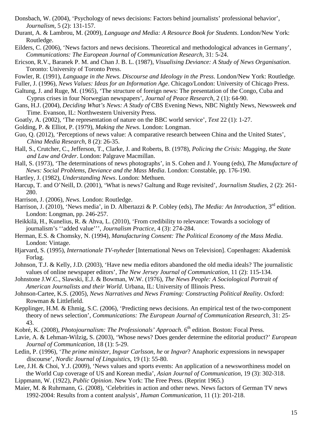- Donsbach, W. (2004), 'Psychology of news decisions: Factors behind journalists' professional behavior', *Journalism*, 5 (2): 131-157.
- Durant, A. & Lambrou, M. (2009), *Language and Media: A Resource Book for Students*. London/New York: Routledge.
- Eilders, C. (2006), 'News factors and news decisions. Theoretical and methodological advances in Germany', *Communications: The European Journal of Communication Research*, 31: 5-24.
- Ericson, R.V., Baranek P. M. and Chan J. B. L. (1987), *Visualising Deviance: A Study of News Organisation*. Toronto: University of Toronto Press.
- Fowler, R. (1991), *Language in the News. Discourse and Ideology in the Press*. London/New York: Routledge.
- Fuller, J. (1996), *News Values: Ideas for an Information Age*. Chicago/London: University of Chicago Press.
- Galtung, J. and Ruge, M. (1965), 'The structure of foreign news: The presentation of the Congo, Cuba and Cyprus crises in four Norwegian newspapers', *Journal of Peace Research*, 2 (1): 64-90.
- Gans, H.J. (2004), *Deciding What's News: A Study of* CBS Evening News, NBC Nightly News, Newsweek *and*  Time. Evanson, IL: Northwestern University Press.
- Goatly, A. (2002), 'The representation of nature on the BBC world service', *Text* 22 (1): 1-27.
- Golding, P. & Elliot, P. (1979), *Making the News*. London: Longman.
- Guo, Q. (2012), 'Perceptions of news value: A comparative research between China and the United States', *China Media Research*, 8 (2): 26-35.
- Hall, S., Crutcher, C., Jefferson, T., Clarke, J. and Roberts, B. (1978), *Policing the Crisis: Mugging, the State and Law and Order*. London: Palgrave Macmillan.
- Hall, S. (1973), 'The determinations of news photographs', in S. Cohen and J. Young (eds), *The Manufacture of News: Social Problems, Deviance and the Mass Media*. London: Constable, pp. 176-190.
- Hartley, J. (1982), *Understanding News*. London: Methuen.
- Harcup, T. and O'Neill, D. (2001), 'What is news? Galtung and Ruge revisited', *Journalism Studies*, 2 (2): 261- 280.
- Harrison, J. (2006), *News*. London: Routledge.
- Harrison, J. (2010), 'News media', in D. Albertazzi & P. Cobley (eds), *The Media: An Introduction*, 3<sup>rd</sup> edition. London: Longman, pp. 246-257.
- Heikkilä, H., Kunelius, R. & Ahva, L. (2010), 'From credibility to relevance: Towards a sociology of journalism's ''added value''', *Journalism Practice*, 4 (3): 274-284.
- Herman, E.S. & Chomsky, N. (1994), *Manufacturing Consent: The Political Economy of the Mass Media*. London: Vintage.
- Hjarvard, S. (1995), *Internationale TV-nyheder* [International News on Television]. Copenhagen: Akademisk Forlag.
- Johnson, T.J. & Kelly, J.D. (2003), 'Have new media editors abandoned the old media ideals? The journalistic values of online newspaper editors', *The New Jersey Journal of Communication*, 11 (2): 115-134.
- Johnstone J.W.C., Slawski, E.J. & Bowman, W.W. (1976), *The News People: A Sociological Portrait of American Journalists and their World*. Urbana, IL: University of Illinois Press.
- Johnson-Cartee, K.S. (2005), *News Narratives and News Framing: Constructing Political Reality*. Oxford: Rowman & Littlefield.
- Kepplinger, H.M. & Ehmig, S.C. (2006), 'Predicting news decisions. An empirical test of the two-component theory of news selection', *Communications: The European Journal of Communication Research*, 31: 25- 43.
- Kobré, K. (2008), *Photojournalism: The Professionals' Approach*. 6<sup>th</sup> edition. Boston: Focal Press.
- Lavie, A. & Lehman-Wilzig, S. (2003), 'Whose news? Does gender determine the editorial product?' *European Journal of Communication*, 18 (1): 5-29.
- Ledin, P. (1996), '*The prime minister, Ingvar Carlsson, he* or *Ingvar*? Anaphoric expressions in newspaper discourse', *Nordic Journal of Linguistics*, 19 (1): 55-80.
- Lee, J.H. & Choi, Y.J. (2009), 'News values and sports events: An application of a newsworthiness model on the World Cup coverage of US and Korean media', *Asian Journal of Communication*, 19 (3): 302-318.
- Lippmann, W. (1922), *Public Opinion*. New York: The Free Press. (Reprint 1965.)
- Maier, M. & Ruhrmann, G. (2008), 'Celebrities in action and other news. News factors of German TV news 1992-2004: Results from a content analysis', *Human Communication*, 11 (1): 201-218.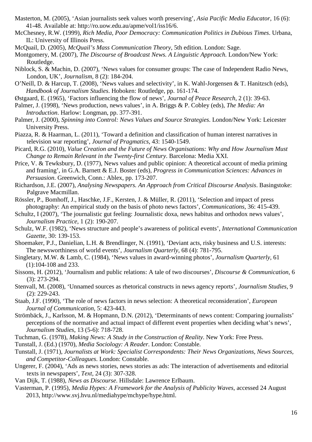- Masterton, M. (2005), 'Asian journalists seek values worth preserving', *Asia Pacific Media Educator*, 16 (6): 41-48. Available at: http://ro.uow.edu.au/apme/vol1/iss16/6.
- McChesney, R.W. (1999), *Rich Media, Poor Democracy: Communication Politics in Dubious Times*. Urbana, IL: University of Illinois Press.
- McQuail, D. (2005), *McQuail's Mass Communication Theory*, 5th edition. London: Sage.
- Montgomery, M. (2007), *The Discourse of Broadcast News. A Linguistic Approach.* London/New York: Routledge.
- Niblock, S. & Machin, D. (2007), 'News values for consumer groups: The case of Independent Radio News, London, UK', *Journalism*, 8 (2): 184-204.
- O'Neill, D. & Harcup, T. (2008), 'News values and selectivity', in K. Wahl-Jorgensen & T. Hanitzsch (eds), *Handbook of Journalism Studies*. Hoboken: Routledge, pp. 161-174.
- Østgaard, E. (1965), 'Factors influencing the flow of news', *Journal of Peace Research*, 2 (1): 39-63.
- Palmer, J. (1998), 'News production, news values', in A. Briggs & P. Cobley (eds), *The Media: An Introduction*. Harlow: Longman, pp. 377-391.
- Palmer, J. (2000), *Spinning into Control: News Values and Source Strategies*. London/New York: Leicester University Press.
- Piazza, R. & Haarman, L. (2011), 'Toward a definition and classification of human interest narratives in television war reporting', *Journal of Pragmatics*, 43: 1540-1549.
- Picard, R.G. (2010), *Value Creation and the Future of News Organisations: Why and How Journalism Must Change to Remain Relevant in the Twenty-first Century*. Barcelona: Media XXI.
- Price, V. & Tewksbury, D. (1977), News values and public opinion: A theoretical account of media priming and framing', in G.A. Barnett & E.J. Boster (eds), *Progress in Communication Sciences: Advances in Persuasion*. Greenwich, Conn.: Ablex, pp. 173-207.
- Richardson, J.E. (2007), *Analysing Newspapers. An Approach from Critical Discourse Analysis*. Basingstoke: Palgrave Macmillan.
- Rössler, P., Bomhoff, J., Haschke, J.F., Kersten, J. & Müller, R. (2011), 'Selection and impact of press photography: An empirical study on the basis of photo news factors', *Communications*, 36: 415-439.
- Schultz, I (2007), 'The journalistic gut feeling: Journalistic doxa, news habitus and orthodox news values', *Journalism Practice*, 1 (2): 190-207.
- Schulz, W.F. (1982), 'News structure and people's awareness of political events', *International Communication Gazette*, 30: 139-153.
- Shoemaker, P.J., Danielian, L.H. & Brendlinger, N. (1991), 'Deviant acts, risky business and U.S. interests: The newsworthiness of world events', *Journalism Quarterly*, 68 (4): 781-795.
- Singletary, M.W. & Lamb, C. (1984), 'News values in award-winning photos', *Journalism Quarterly*, 61 (1):104-108 and 233.
- Sissons, H. (2012), 'Journalism and public relations: A tale of two discourses', *Discourse & Communication*, 6 (3): 273-294.
- Stenvall, M. (2008), 'Unnamed sources as rhetorical constructs in news agency reports', *Journalism Studies*, 9 (2): 229-243.
- Staab, J.F. (1990), 'The role of news factors in news selection: A theoretical reconsideration', *European Journal of Communication*, 5: 423-443.
- Strömbäck, J., Karlsson, M. & Hopmann, D.N. (2012), 'Determinants of news content: Comparing journalists' perceptions of the normative and actual impact of different event properties when deciding what's news', *Journalism Studies*, 13 (5-6): 718-728.
- Tuchman, G. (1978), *Making News: A Study in the Construction of Reality*. New York: Free Press.
- Tunstall, J. (Ed.) (1970), *Media Sociology: A Reader*. London: Constable.
- Tunstall, J. (1971), *Journalists at Work: Specialist Correspondents: Their News Organizations, News Sources, and Competitor-Colleagues*. London: Constable.
- Ungerer, F. (2004), 'Ads as news stories, news stories as ads: The interaction of advertisements and editorial texts in newspapers', *Text,* 24 (3): 307-328.
- Van Dijk, T. (1988), *News as Discourse*. Hillsdale: Lawrence Erlbaum.
- Vasterman, P. (1995), *Media Hypes: A Framework for the Analysis of Publicity Waves*, accessed 24 August 2013, http://www.svj.hvu.nl/mediahype/mchype/hype.html.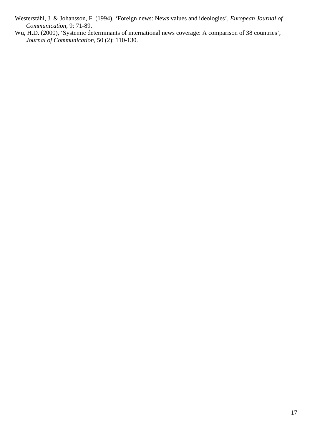Westerståhl, J. & Johansson, F. (1994), 'Foreign news: News values and ideologies', *European Journal of Communication*, 9: 71-89.

Wu, H.D. (2000), 'Systemic determinants of international news coverage: A comparison of 38 countries', *Journal of Communication*, 50 (2): 110-130.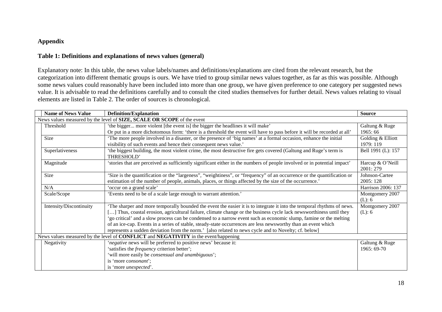#### **Appendix**

#### **Table 1: Definitions and explanations of news values (general)**

Explanatory note: In this table, the news value labels/names and definitions/explanations are cited from the relevant research, but the categorization into different thematic groups is ours. We have tried to group similar news values together, as far as this was possible. Although some news values could reasonably have been included into more than one group, we have given preference to one category per suggested news value. It is advisable to read the definitions carefully and to consult the cited studies themselves for further detail. News values relating to visual elements are listed in Table 2. The order of sources is chronological.

| <b>Name of News Value</b>                                              | <b>Definition/Explanation</b>                                                                                            | <b>Source</b>      |
|------------------------------------------------------------------------|--------------------------------------------------------------------------------------------------------------------------|--------------------|
| News values measured by the level of SIZE, SCALE OR SCOPE of the event |                                                                                                                          |                    |
| Threshold                                                              | 'the bigger more violent [the event is] the bigger the headlines it will make'                                           | Galtung & Ruge     |
|                                                                        | Or put in a more dichotomous form: 'there is a threshold the event will have to pass before it will be recorded at all'  | 1965:66            |
| Size                                                                   | The more people involved in a disaster, or the presence of 'big names' at a formal occasion, enhance the initial         | Golding & Elliott  |
|                                                                        | visibility of such events and hence their consequent news value.'                                                        | 1979: 119          |
| Superlativeness                                                        | 'the biggest building, the most violent crime, the most destructive fire gets covered (Galtung and Ruge's term is        | Bell 1991 (L): 157 |
|                                                                        | THRESHOLD'                                                                                                               |                    |
| Magnitude                                                              | 'stories that are perceived as sufficiently significant either in the numbers of people involved or in potential impact' | Harcup & O'Neill   |
|                                                                        |                                                                                                                          | 2001:279           |
| Size                                                                   | Size is the quantification or the "largeness", "weightiness", or "frequency" of an occurrence or the quantification or   | Johnson-Cartee     |
|                                                                        | estimation of the number of people, animals, places, or things affected by the size of the occurrence.'                  | 2005: 128          |
| N/A                                                                    | 'occur on a grand scale'                                                                                                 | Harrison 2006: 137 |
| Scale/Scope                                                            | 'Events need to be of a scale large enough to warrant attention.'                                                        | Montgomery 2007    |
|                                                                        |                                                                                                                          | (L): 6             |
| Intensity/Discontinuity                                                | The sharper and more temporally bounded the event the easier it is to integrate it into the temporal rhythms of news.    | Montgomery 2007    |
|                                                                        | [] Thus, coastal erosion, agricultural failure, climate change or the business cycle lack newsworthiness until they      | (L): 6             |
|                                                                        | 'go critical' and a slow process can be condensed to a narrow event such as economic slump, famine or the melting        |                    |
|                                                                        | of an ice-cap. Events in a series of stable, steady-state occurrences are less newsworthy than an event which            |                    |
|                                                                        | represents a sudden deviation from the norm.' [also related to news cycle and to Novelty; cf. below]                     |                    |
|                                                                        | News values measured by the level of CONFLICT and NEGATIVITY in the event/happening                                      |                    |
| Negativity                                                             | 'negative news will be preferred to positive news' because it:                                                           | Galtung & Ruge     |
|                                                                        | 'satisfies the <i>frequency</i> criterion better';                                                                       | 1965: 69-70        |
|                                                                        | 'will more easily be consensual and unambiguous';                                                                        |                    |
|                                                                        | is 'more consonant';                                                                                                     |                    |
|                                                                        | is 'more <i>unexpected</i> '.                                                                                            |                    |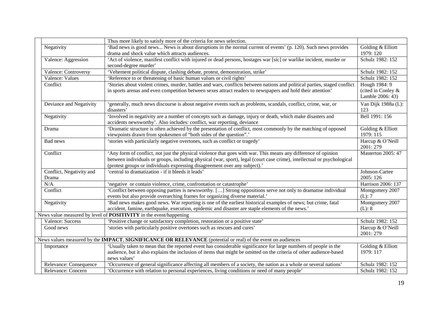|                          | Thus more likely to satisfy more of the criteria for news selection.                                                       |                           |
|--------------------------|----------------------------------------------------------------------------------------------------------------------------|---------------------------|
| Negativity               | 'Bad news is good news News is about disruptions in the normal current of events' (p. 120). Such news provides             | Golding & Elliott         |
|                          | drama and shock value which attracts audiences.                                                                            | 1979: 120                 |
| Valence: Aggression      | 'Act of violence, manifest conflict with injured or dead persons, hostages war [sic] or warlike incident, murder or        | Schulz 1982: 152          |
|                          | second-degree murder'                                                                                                      |                           |
| Valence: Controversy     | 'Vehement political dispute, clashing debate, protest, demonstration, strike'                                              | Schulz 1982: 152          |
| Valence: Values          | 'Reference to or threatening of basic human values or civil rights'                                                        | Schulz 1982: 152          |
| Conflict                 | 'Stories about violent crimes, murder, battles and wars, conflicts between nations and political parties, staged conflict  | Hough 1984: 9             |
|                          | in sports arenas and even competition between sexes attract readers to newspapers and hold their attention'                | (cited in Conley &        |
|                          |                                                                                                                            | Lamble 2006: 43)          |
| Deviance and Negativity  | 'generally, much news discourse is about negative events such as problems, scandals, conflict, crime, war, or              | Van Dijk 1988a (L):       |
|                          | disasters'                                                                                                                 | 123                       |
| Negativity               | 'Involved in negativity are a number of concepts such as damage, injury or death, which make disasters and                 | Bell 1991: 156            |
|                          | accidents newsworthy'. Also includes: conflict, war reporting, deviance                                                    |                           |
| Drama                    | 'Dramatic structure is often achieved by the presentation of conflict, most commonly by the matching of opposed            | Golding & Elliott         |
|                          | viewpoints drawn from spokesmen of "both sides of the question".'                                                          | 1979: 115                 |
| Bad news                 | 'stories with particularly negative overtones, such as conflict or tragedy'                                                | Harcup & O'Neill          |
|                          |                                                                                                                            | 2001: 279                 |
| Conflict                 | 'Any form of conflict, not just the physical violence that goes with war. This means any difference of opinion             | <b>Masterton 2005: 47</b> |
|                          | between individuals or groups, including physical (war, sport), legal (court case crime), intellectual or psychological    |                           |
|                          | (protest groups or individuals expressing disagreement over any subject).'                                                 |                           |
| Conflict, Negativity and | 'central to dramatization - if it bleeds it leads'                                                                         | Johnson-Cartee            |
| Drama                    |                                                                                                                            | 2005: 126                 |
| N/A                      | 'negative or contain violence, crime, confrontation or catastrophe'                                                        | Harrison 2006: 137        |
| Conflict                 | 'Conflict between opposing parties is newsworthy. [] Strong oppositions serve not only to dramatise individual             | Montgomery 2007           |
|                          | events but also provide overarching frames for organizing diverse material.'                                               | (L): 7                    |
| Negativity               | 'Bad news makes good news. War reporting is one of the earliest historical examples of news; but crime, fatal              | Montgomery 2007           |
|                          | accident, famine, earthquake, execution, epidemic and disaster are staple elements of the news.'                           | (L): 8                    |
|                          | News value measured by level of <b>POSITIVITY</b> in the event/happening                                                   |                           |
| Valence: Success         | 'Positive change or satisfactory completion, restoration or a positive state'                                              | Schulz 1982: 152          |
| Good news                | 'stories with particularly positive overtones such as rescues and cures'                                                   | Harcup & O'Neill          |
|                          |                                                                                                                            | 2001: 279                 |
|                          | News values measured by the <b>IMPACT</b> , <b>SIGNIFICANCE OR RELEVANCE</b> (potential or real) of the event on audiences |                           |
| Importance               | 'Usually taken to mean that the reported event has considerable significance for large numbers of people in the            | Golding & Elliott         |
|                          | audience, but it also explains the inclusion of items that might be omitted on the criteria of other audience-based        | 1979: 117                 |
|                          | news values'                                                                                                               |                           |
| Relevance: Consequence   | 'Occurrence of general significance affecting all members of a society, the nation as a whole or several nations'          | Schulz 1982: 152          |
| Relevance: Concern       | "Occurrence with relation to personal experiences, living conditions or need of many people"                               | Schulz 1982: 152          |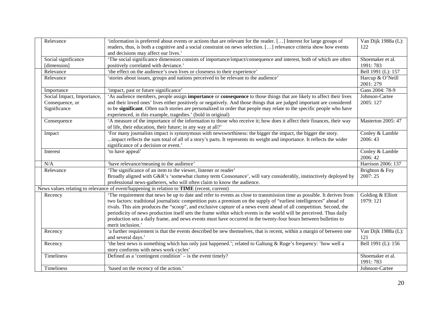| Relevance                  | information is preferred about events or actions that are relevant for the reader. [] Interest for large groups of<br>readers, thus, is both a cognitive and a social constraint on news selection. [] relevance criteria show how events | Van Dijk 1988a (L):<br>122    |
|----------------------------|-------------------------------------------------------------------------------------------------------------------------------------------------------------------------------------------------------------------------------------------|-------------------------------|
|                            | and decisions may affect our lives.'                                                                                                                                                                                                      |                               |
| Social significance        | 'The social significance dimension consists of importance/impact/consequence and interest, both of which are often                                                                                                                        | Shoemaker et al.              |
| [dimension]                | positively correlated with deviance.'                                                                                                                                                                                                     | 1991:783                      |
| Relevance                  | 'the effect on the audience's own lives or closeness to their experience'                                                                                                                                                                 | Bell 1991 (L): 157            |
| Relevance                  | 'stories about issues, groups and nations perceived to be relevant to the audience'                                                                                                                                                       | Harcup & O'Neill<br>2001: 279 |
| Importance                 | 'impact, past or future significance'                                                                                                                                                                                                     | Gans 2004: 78-9               |
| Social Impact, Importance, | 'As audience members, people assign <b>importance</b> or <b>consequence</b> to those things that are likely to affect their lives                                                                                                         | Johnson-Cartee                |
| Consequence, or            | and their loved ones' lives either positively or negatively. And those things that are judged important are considered                                                                                                                    | 2005: 127                     |
| Significance               | to be significant. Often such stories are personalized in order that people may relate to the specific people who have                                                                                                                    |                               |
|                            | experienced, in this example, tragedies.' (bold in original)                                                                                                                                                                              |                               |
| Consequence                | 'A measure of the importance of the information to those who receive it; how does it affect their finances, their way<br>of life, their education, their future; in any way at all?'                                                      | <b>Masterton 2005: 47</b>     |
| Impact                     | For many journalists impact is synonymous with newsworthiness: the bigger the impact, the bigger the story.                                                                                                                               | Conley & Lamble               |
|                            | impact reflects the sum total of all of a story's parts. It represents its weight and importance. It reflects the wider                                                                                                                   | 2006:43                       |
|                            | significance of a decision or event.'                                                                                                                                                                                                     |                               |
| Interest                   | 'to have appeal'                                                                                                                                                                                                                          | Conley & Lamble               |
|                            |                                                                                                                                                                                                                                           | 2006:42                       |
| N/A                        | 'have relevance/meaning to the audience'                                                                                                                                                                                                  | Harrison 2006: 137            |
| Relevance                  | 'The significance of an item to the viewer, listener or reader'                                                                                                                                                                           | Brighton & Foy                |
|                            | Broadly aligned with G&R's 'somewhat clumsy term Consonance', will vary considerably, instinctively deployed by                                                                                                                           | 2007:25                       |
|                            | professional news-gatherers, who will often claim to know the audience.                                                                                                                                                                   |                               |
|                            | News values relating to relevance of event/happening in relation to <b>TIME</b> (recent, current)                                                                                                                                         |                               |
| Recency                    | The requirement that news be up to date and refer to events as close to transmission time as possible. It derives from                                                                                                                    | Golding & Elliott             |
|                            | two factors: traditional journalistic competition puts a premium on the supply of "earliest intelligences" ahead of                                                                                                                       | 1979: 121                     |
|                            | rivals. This aim produces the "scoop", and exclusive capture of a news event ahead of all competition. Second, the                                                                                                                        |                               |
|                            | periodicity of news production itself sets the frame within which events in the world will be perceived. Thus daily                                                                                                                       |                               |
|                            | production sets a daily frame, and news events must have occurred in the twenty-four hours between bulletins to                                                                                                                           |                               |
|                            | merit inclusion.'                                                                                                                                                                                                                         |                               |
| Recency                    | 'a further requirement is that the events described be new themselves, that is recent, within a margin of between one                                                                                                                     | Van Dijk 1988a (L):           |
|                            | and several days.'                                                                                                                                                                                                                        | 121                           |
| Recency                    | 'the best news is something which has only just happened.'; related to Galtung & Ruge's frequency: 'how well a<br>story conforms with news work cycles'                                                                                   | Bell 1991 (L): 156            |
| Timeliness                 | Defined as a 'contingent condition' $-$ is the event timely?                                                                                                                                                                              | Shoemaker et al.              |
|                            |                                                                                                                                                                                                                                           | 1991: 783                     |
| Timeliness                 | 'based on the recency of the action.'                                                                                                                                                                                                     | Johnson-Cartee                |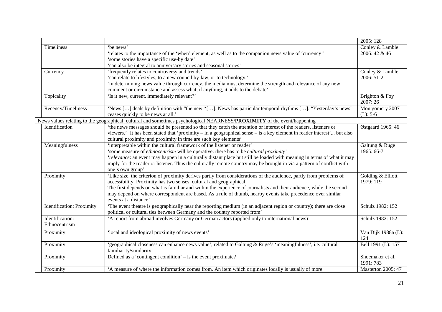|                                  |                                                                                                                          | 2005: 128                 |
|----------------------------------|--------------------------------------------------------------------------------------------------------------------------|---------------------------|
| Timeliness                       | 'be news'                                                                                                                | Conley & Lamble           |
|                                  | 'relates to the importance of the 'when' element, as well as to the companion news value of 'currency''                  | 2006: 42 & 46             |
|                                  | 'some stories have a specific use-by date'                                                                               |                           |
|                                  | 'can also be integral to anniversary stories and seasonal stories'                                                       |                           |
| Currency                         | 'frequently relates to controversy and trends'                                                                           | Conley & Lamble           |
|                                  | 'can relate to lifestyles, to a new council by-law, or to technology.'                                                   | 2006: 51-2                |
|                                  | 'in determining news value through currency, the media must determine the strength and relevance of any new              |                           |
|                                  | comment or circumstance and assess what, if anything, it adds to the debate'                                             |                           |
| Topicality                       | 'Is it new, current, immediately relevant?'                                                                              | Brighton & Foy            |
|                                  |                                                                                                                          | 2007:26                   |
| Recency/Timeliness               | 'News [] deals by definition with "the new"'[]. News has particular temporal rhythms []. "Yesterday's news"              | Montgomery 2007           |
|                                  | ceases quickly to be news at all.'                                                                                       | $(L): 5-6$                |
|                                  | News values relating to the geographical, cultural and sometimes psychological NEARNESS/PROXIMITY of the event/happening |                           |
| Identification                   | the news messages should be presented so that they catch the attention or interest of the readers, listeners or          | Østgaard 1965: 46         |
|                                  | viewers.' 'It has been stated that 'proximity – in a geographical sense – is a key element in reader interest' but also  |                           |
|                                  | cultural proximity and proximity in time are such key elements'                                                          |                           |
| Meaningfulness                   | 'interpretable within the cultural framework of the listener or reader'                                                  | Galtung & Ruge            |
|                                  | 'some measure of ethnocentrism will be operative: there has to be cultural proximity'                                    | 1965: 66-7                |
|                                  | 'relevance: an event may happen in a culturally distant place but still be loaded with meaning in terms of what it may   |                           |
|                                  | imply for the reader or listener. Thus the culturally remote country may be brought in via a pattern of conflict with    |                           |
|                                  | one's own group'                                                                                                         |                           |
| Proximity                        | 'Like size, the criterion of proximity derives partly from considerations of the audience, partly from problems of       | Golding & Elliott         |
|                                  | accessibility. Proximity has two senses, cultural and geographical.                                                      | 1979: 119                 |
|                                  | The first depends on what is familiar and within the experience of journalists and their audience, while the second      |                           |
|                                  | may depend on where correspondent are based. As a rule of thumb, nearby events take precedence over similar              |                           |
|                                  | events at a distance'                                                                                                    |                           |
| <b>Identification: Proximity</b> | The event theatre is geographically near the reporting medium (in an adjacent region or country); there are close        | Schulz 1982: 152          |
|                                  | political or cultural ties between Germany and the country reported from'                                                |                           |
| Identification:                  | 'A report from abroad involves Germany or German actors (applied only to international news)'                            | Schulz 1982: 152          |
| Ethnocentrism                    |                                                                                                                          |                           |
| Proximity                        | 'local and ideological proximity of news events'                                                                         | Van Dijk 1988a (L):       |
|                                  |                                                                                                                          | 124                       |
| Proximity                        | 'geographical closeness can enhance news value'; related to Galtung & Ruge's 'meaningfulness', i.e. cultural             | Bell 1991 (L): 157        |
|                                  | familiarity/similarity                                                                                                   |                           |
| Proximity                        | Defined as a 'contingent condition' $-$ is the event proximate?                                                          | Shoemaker et al.          |
|                                  |                                                                                                                          | 1991: 783                 |
| Proximity                        | A measure of where the information comes from. An item which originates locally is usually of more                       | <b>Masterton 2005: 47</b> |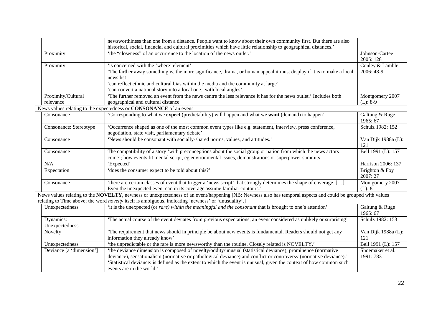|                          | newsworthiness than one from a distance. People want to know about their own community first. But there are also                                             |                     |
|--------------------------|--------------------------------------------------------------------------------------------------------------------------------------------------------------|---------------------|
|                          | historical, social, financial and cultural proximities which have little relationship to geographical distances.'                                            |                     |
| Proximity                | 'the "closeness" of an occurrence to the location of the news outlet.'                                                                                       | Johnson-Cartee      |
|                          |                                                                                                                                                              | 2005: 128           |
| Proximity                | 'is concerned with the 'where' element'                                                                                                                      | Conley & Lamble     |
|                          | The farther away something is, the more significance, drama, or human appeal it must display if it is to make a local                                        | 2006: 48-9          |
|                          | news list'                                                                                                                                                   |                     |
|                          | 'can reflect ethnic and cultural bias within the media and the community at large'                                                                           |                     |
|                          | 'can convert a national story into a local onewith local angles'.                                                                                            |                     |
| Proximity/Cultural       | 'The further removed an event from the news centre the less relevance it has for the news outlet.' Includes both                                             | Montgomery 2007     |
| relevance                | geographical and cultural distance                                                                                                                           | $(L): 8-9$          |
|                          | News values relating to the expectedness or CONSONANCE of an event                                                                                           |                     |
| Consonance               | 'Corresponding to what we expect (predictability) will happen and what we want (demand) to happen'                                                           | Galtung & Ruge      |
|                          |                                                                                                                                                              | 1965: 67            |
| Consonance: Stereotype   | 'Occurrence shaped as one of the most common event types like e.g. statement, interview, press conference,                                                   | Schulz 1982: 152    |
|                          | negotiation, state visit, parliamentary debate'                                                                                                              |                     |
| Consonance               | 'News should be consonant with socially-shared norms, values, and attitudes.'                                                                                | Van Dijk 1988a (L): |
|                          |                                                                                                                                                              | 121                 |
| Consonance               | The compatibility of a story 'with preconceptions about the social group or nation from which the news actors                                                | Bell 1991 (L): 157  |
|                          | come'; how events fit mental script, eg environmental issues, demonstrations or superpower summits.                                                          |                     |
| N/A                      | 'Expected'                                                                                                                                                   | Harrison 2006: 137  |
| Expectation              | 'does the consumer expect to be told about this?'                                                                                                            | Brighton & Foy      |
|                          |                                                                                                                                                              | 2007: 27            |
| Consonance               | 'there are certain classes of event that trigger a 'news script' that strongly determines the shape of coverage. []                                          | Montgomery 2007     |
|                          | Even the unexpected event can in its coverage assume familiar contours.'                                                                                     | (L): 8              |
|                          | News values relating to the NOVELTY, newness or unexpectedness of an event/happening [NB: Newness also has temporal aspects and could be grouped with values |                     |
|                          | relating to Time above; the word novelty itself is ambiguous, indicating 'newness' or 'unusuality'.]                                                         |                     |
| Unexpectedness           | 'it is the unexpected (or rare) within the meaningful and the consonant that is brought to one's attention'                                                  | Galtung & Ruge      |
|                          |                                                                                                                                                              | 1965: 67            |
| Dynamics:                | 'The actual course of the event deviates from previous expectations; an event considered as unlikely or surprising'                                          | Schulz 1982: 153    |
| Unexpectedness           |                                                                                                                                                              |                     |
| Novelty                  | 'The requirement that news should in principle be about new events is fundamental. Readers should not get any                                                | Van Dijk 1988a (L): |
|                          | information they already know'                                                                                                                               | 121                 |
| Unexpectedness           | 'the unpredictable or the rare is more newsworthy than the routine. Closely related is NOVELTY.'                                                             | Bell 1991 (L): 157  |
| Deviance [a 'dimension'] | 'the deviance dimension is composed of novelty/oddity/unusual (statistical deviance), prominence (normative                                                  | Shoemaker et al.    |
|                          | deviance), sensationalism (normative or pathological deviance) and conflict or controversy (normative deviance).'                                            | 1991: 783           |
|                          | 'Statistical deviance: is defined as the extent to which the event is unusual, given the context of how common such                                          |                     |
|                          | events are in the world.'                                                                                                                                    |                     |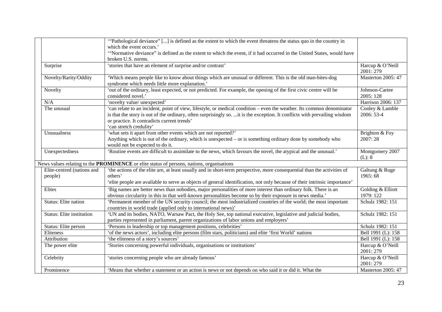|                                                                                                  | "Pathological deviance" [] is defined as the extent to which the event threatens the status quo in the country in          |                    |
|--------------------------------------------------------------------------------------------------|----------------------------------------------------------------------------------------------------------------------------|--------------------|
|                                                                                                  | which the event occurs.'                                                                                                   |                    |
|                                                                                                  | "Normative deviance" is defined as the extent to which the event, if it had occurred in the United States, would have      |                    |
|                                                                                                  | broken U.S. norms.                                                                                                         |                    |
| Surprise                                                                                         | 'stories that have an element of surprise and/or contrast'                                                                 | Harcup & O'Neill   |
|                                                                                                  |                                                                                                                            | 2001: 279          |
| Novelty/Rarity/Oddity                                                                            | 'Which means people like to know about things which are unusual or different. This is the old man-bites-dog                | Masterton 2005: 47 |
|                                                                                                  | syndrome which needs little more explanation.                                                                              |                    |
| Novelty                                                                                          | 'out of the ordinary, least expected, or not predicted. For example, the opening of the first civic centre will be         | Johnson-Cartee     |
|                                                                                                  | considered novel.'                                                                                                         | 2005: 128          |
| N/A                                                                                              | 'novelty value/ unexpected'                                                                                                | Harrison 2006: 137 |
| The unusual                                                                                      | 'can relate to an incident, point of view, lifestyle, or medical condition – even the weather. Its common denominator      | Conley & Lamble    |
|                                                                                                  | is that the story is out of the ordinary, often surprisingly so. it is the exception. It conflicts with prevailing wisdom  | 2006: 53-4         |
|                                                                                                  | or practice. It contradicts current trends'                                                                                |                    |
|                                                                                                  | 'can stretch credulity'                                                                                                    |                    |
| Unusualness                                                                                      | 'what sets it apart from other events which are not reported?'                                                             | Brighton & Foy     |
|                                                                                                  | Anything which is out of the ordinary, which is unexpected – or is something ordinary done by somebody who                 | 2007:28            |
|                                                                                                  | would not be expected to do it.                                                                                            |                    |
| Unexpectedness                                                                                   | 'Routine events are difficult to assimilate to the news, which favours the novel, the atypical and the unusual.'           | Montgomery 2007    |
|                                                                                                  |                                                                                                                            | (L): 8             |
| News values relating to the <b>PROMINENCE</b> or elite status of persons, nations, organisations |                                                                                                                            |                    |
| Elite-centred (nations and                                                                       | 'the actions of the elite are, at least usually and in short-term perspective, more consequential than the activities of   | Galtung & Ruge     |
| people)                                                                                          | others'                                                                                                                    | 1965: 68           |
|                                                                                                  | 'elite people are available to serve as objects of general identification, not only because of their intrinsic importance' |                    |
| Elites                                                                                           | Big names are better news than nobodies, major personalities of more interest than ordinary folk. There is an              | Golding & Elliott  |
|                                                                                                  | obvious circularity in this in that well-known personalities become so by their exposure in news media.'                   | 1979: 122          |
| Status: Elite nation                                                                             | Permanent member of the UN security council; the most industrialized countries of the world; the most important            | Schulz 1982: 151   |
|                                                                                                  | countries in world trade (applied only to international news)'                                                             |                    |
| Status: Elite institution                                                                        | 'UN and its bodies, NATO, Warsaw Pact, the Holy See, top national executive, legislative and judicial bodies,              | Schulz 1982: 151   |
|                                                                                                  | parties represented in parliament, parent organizations of labor unions and employers'                                     |                    |
| Status: Elite person                                                                             | 'Persons in leadership or top management positions, celebrities'                                                           | Schulz 1982: 151   |
| Eliteness                                                                                        | 'of the news actors', including elite persons (film stars, politicians) and elite 'first World' nations                    | Bell 1991 (L): 158 |
| Attribution                                                                                      | 'the eliteness of a story's sources'                                                                                       | Bell 1991 (L): 158 |
| The power elite                                                                                  | 'Stories concerning powerful individuals, organisations or institutions'                                                   | Harcup & O'Neill   |
|                                                                                                  |                                                                                                                            | 2001: 279          |
| Celebrity                                                                                        | 'stories concerning people who are already famous'                                                                         | Harcup & O'Neill   |
|                                                                                                  |                                                                                                                            | 2001:279           |
| Prominence                                                                                       | 'Means that whether a statement or an action is news or not depends on who said it or did it. What the                     | Masterton 2005: 47 |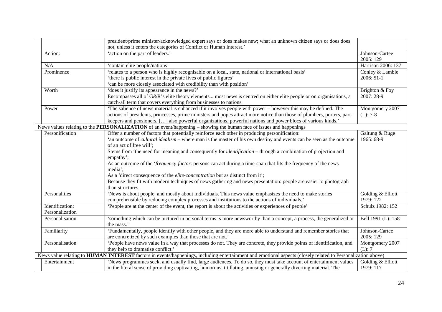|                 | president/prime minister/acknowledged expert says or does makes new; what an unknown citizen says or does does                                               |                             |
|-----------------|--------------------------------------------------------------------------------------------------------------------------------------------------------------|-----------------------------|
|                 | not, unless it enters the categories of Conflict or Human Interest.'                                                                                         |                             |
| Action:         | 'action on the part of leaders.'                                                                                                                             | Johnson-Cartee<br>2005: 129 |
| N/A             | 'contain elite people/nations'                                                                                                                               | Harrison 2006: 137          |
| Prominence      | 'relates to a person who is highly recognisable on a local, state, national or international basis'                                                          | Conley & Lamble             |
|                 | 'there is public interest in the private lives of public figures'                                                                                            | 2006: 51-1                  |
|                 | 'can be more closely associated with credibility than with position'                                                                                         |                             |
| Worth           | 'does it justify its appearance in the news?'                                                                                                                | Brighton & Foy              |
|                 | Encompasses all of G&R's elite theory elements most news is centred on either elite people or on organisations, a                                            | 2007: 28-9                  |
|                 | catch-all term that covers everything from businesses to nations.                                                                                            |                             |
| Power           | The salience of news material is enhanced if it involves people with power – however this may be defined. The                                                | Montgomery 2007             |
|                 | actions of presidents, princesses, prime ministers and popes attract more notice than those of plumbers, porters, part-                                      | $(L): 7-8$                  |
|                 | keepers and pensioners. [] also powerful organizations, powerful nations and power blocs of various kinds.'                                                  |                             |
|                 | News values relating to the PERSONALIZATION of an event/happening – showing the human face of issues and happenings                                          |                             |
| Personification | Offer a number of factors that potentially reinforce each other in producing personification:                                                                | Galtung & Ruge              |
|                 | 'an outcome of <i>cultural idealism</i> – where man is the master of his own destiny and events can be seen as the outcome                                   | 1965: 68-9                  |
|                 | of an act of free will';                                                                                                                                     |                             |
|                 | Stems from 'the need for meaning and consequently for <i>identification</i> – through a combination of projection and                                        |                             |
|                 | empathy';                                                                                                                                                    |                             |
|                 | As an outcome of the 'frequency-factor: persons can act during a time-span that fits the frequency of the news                                               |                             |
|                 | media';                                                                                                                                                      |                             |
|                 | As a 'direct consequence of the <i>elite-concentration</i> but as distinct from it';                                                                         |                             |
|                 | Because they fit with modern techniques of news gathering and news presentation: people are easier to photograph                                             |                             |
|                 | than structures.                                                                                                                                             |                             |
| Personalities   | 'News is about people, and mostly about individuals. This news value emphasizes the need to make stories                                                     | Golding & Elliott           |
|                 | comprehensible by reducing complex processes and institutions to the actions of individuals.                                                                 | 1979: 122                   |
| Identification: | 'People are at the center of the event, the report is about the activities or experiences of people'                                                         | Schulz 1982: 152            |
| Personalization |                                                                                                                                                              |                             |
| Personalisation | 'something which can be pictured in personal terms is more newsworthy than a concept, a process, the generalized or                                          | Bell 1991 (L): 158          |
|                 | the mass.'                                                                                                                                                   |                             |
| Familiarity     | 'Fundamentally, people identify with other people, and they are more able to understand and remember stories that                                            | Johnson-Cartee              |
|                 | are concretized by such examples than those that are not.'                                                                                                   | 2005: 129                   |
| Personalisation | 'People have news value in a way that processes do not. They are concrete, they provide points of identification, and                                        | Montgomery 2007             |
|                 | they help to dramatise conflict.'                                                                                                                            | (L): 7                      |
|                 | News value relating to HUMAN INTEREST factors in events/happenings, including entertainment and emotional aspects (closely related to Personalization above) |                             |
| Entertainment   | 'News programmes seek, and usually find, large audiences. To do so, they must take account of entertainment values                                           | Golding & Elliott           |
|                 | in the literal sense of providing captivating, humorous, titillating, amusing or generally diverting material. The                                           | 1979: 117                   |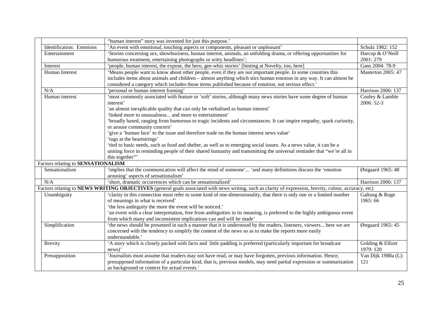|                                    | "human interest" story was invented for just this purpose."                                                                                             |                           |
|------------------------------------|---------------------------------------------------------------------------------------------------------------------------------------------------------|---------------------------|
| Identification: Emotions           | 'An event with emotional, touching aspects or components, pleasant or unpleasant'                                                                       | Schulz 1982: 152          |
| Entertainment                      | 'Stories concerning sex, showbusiness, human interest, animals, an unfolding drama, or offering opportunities for                                       | Harcup & O'Neill          |
|                                    | humorous treatment, entertaining photographs or witty headlines';                                                                                       | 2001: 279                 |
| Interest                           | 'people, human interest, the expose, the hero, gee-whiz stories' [hinting at Novelty, too, here]                                                        | Gans 2004: 78-9           |
| Human Interest                     | 'Means people want to know about other people, even if they are not important people. In some countries this                                            | <b>Masterton 2005: 47</b> |
|                                    | includes items about animals and children – almost anything which stirs human emotion in any way. It can almost be                                      |                           |
|                                    | considered a category which includes those items published because of emotion, not serious effect.'                                                     |                           |
| N/A                                | 'personal or human interest framing'                                                                                                                    | Harrison 2006: 137        |
| Human interest                     | 'most commonly associated with feature or 'soft' stories, although many news stories have some degree of human                                          | Conley & Lamble           |
|                                    | interest'                                                                                                                                               | 2006: 52-3                |
|                                    | 'an almost inexplicable quality that can only be verbalised as human interest'                                                                          |                           |
|                                    | 'linked more to unusualness and more to entertainment'                                                                                                  |                           |
|                                    | 'broadly based, ranging from humorous to tragic incidents and circumstances. It can inspire empathy, spark curiosity,                                   |                           |
|                                    | or arouse community concern'                                                                                                                            |                           |
|                                    | 'give a 'human face' to the issue and therefore trade on the human interest news value'                                                                 |                           |
|                                    | 'tugs at the heartstrings'                                                                                                                              |                           |
|                                    | 'tied to basic needs, such as food and shelter, as well as to emerging social issues. As a news value, it can be a                                      |                           |
|                                    | uniting force in reminding people of their shared humanity and transmitting the universal reminder that "we're all in                                   |                           |
|                                    | this together"                                                                                                                                          |                           |
| Factors relating to SENSATIONALISM |                                                                                                                                                         |                           |
| Sensationalism                     | 'implies that the communication will affect the mind of someone' 'and many definitions discuss the 'emotion                                             | Østgaard 1965: 48         |
|                                    | arousing' aspects of sensationalism'                                                                                                                    |                           |
| N/A                                | 'short, dramatic occurrences which can be sensationalized'                                                                                              | Harrison 2006: 137        |
|                                    | Factors relating to NEWS WRITING OBJECTIVES (general goals associated with news writing, such as clarity of expression, brevity, colour, accuracy, etc) |                           |
| Unambiguity                        | 'clarity in this connection must refer to some kind of one-dimensionality, that there is only one or a limited number                                   | Galtung & Ruge            |
|                                    | of meanings in what is received'                                                                                                                        | 1965:66                   |
|                                    | 'the less ambiguity the more the event will be noticed.'                                                                                                |                           |
|                                    | an event with a clear interpretation, free from ambiguities in its meaning, is preferred to the highly ambiguous event                                  |                           |
|                                    | from which many and inconsistent implications can and will be made'                                                                                     |                           |
| Simplification                     | the news should be presented in such a manner that it is understood by the readers, listeners, viewers here we are                                      | Østgaard 1965: 45         |
|                                    | concerned with the tendency to simplify the content of the news so as to make the reports more easily                                                   |                           |
|                                    | understandable.'                                                                                                                                        |                           |
| <b>Brevity</b>                     | A story which is closely packed with facts and little padding is preferred (particularly important for broadcast                                        | Golding & Elliott         |
|                                    | news)                                                                                                                                                   | 1979: 120                 |
| Presupposition                     | 'Journalists must assume that readers may not have read, or may have forgotten, previous information. Hence,                                            | Van Dijk 1988a (L):       |
|                                    | presupposed information of a particular kind, that is, previous models, may need partial expression or summarization                                    | 121                       |
|                                    | as background or context for actual events.'                                                                                                            |                           |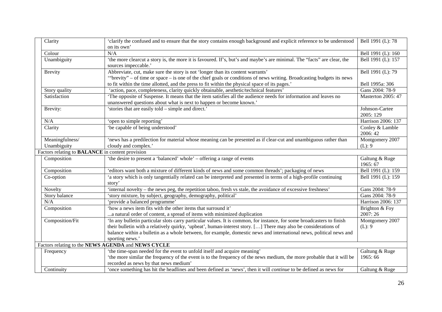|                                                         | Clarity         | 'clarify the confused and to ensure that the story contains enough background and explicit reference to be understood   | Bell 1991 (L): 78  |
|---------------------------------------------------------|-----------------|-------------------------------------------------------------------------------------------------------------------------|--------------------|
|                                                         |                 | on its own'                                                                                                             |                    |
|                                                         | Colour          | N/A                                                                                                                     | Bell 1991 (L): 160 |
|                                                         | Unambiguity     | 'the more clearcut a story is, the more it is favoured. If's, but's and maybe's are minimal. The "facts" are clear, the | Bell 1991 (L): 157 |
|                                                         |                 | sources impeccable.'                                                                                                    |                    |
|                                                         | <b>Brevity</b>  | Abbreviate, cut, make sure the story is not 'longer than its content warrants'                                          | Bell 1991 (L): 79  |
|                                                         |                 | "brevity" – of time or space – is one of the chief goals or conditions of news writing. Broadcasting budgets its news   |                    |
|                                                         |                 | to fit within the time allotted, and the press to fit within the physical space of its pages.'                          | Bell 1995a: 306    |
|                                                         | Story quality   | 'action, pace, completeness, clarity quickly obtainable, aesthetic/technical features'                                  | Gans 2004: 78-9    |
|                                                         | Satisfaction    | The opposite of Suspense. It means that the item satisfies all the audience needs for information and leaves no         | Masterton 2005: 47 |
|                                                         |                 | unanswered questions about what is next to happen or become known.'                                                     |                    |
|                                                         | Brevity:        | 'stories that are easily told – simple and direct.'                                                                     | Johnson-Cartee     |
|                                                         |                 |                                                                                                                         | 2005: 129          |
|                                                         | N/A             | 'open to simple reporting'                                                                                              | Harrison 2006: 137 |
|                                                         | Clarity         | 'be capable of being understood'                                                                                        | Conley & Lamble    |
|                                                         |                 |                                                                                                                         | 2006:42            |
|                                                         | Meaningfulness/ | 'news has a predilection for material whose meaning can be presented as if clear-cut and unambiguous rather than        | Montgomery 2007    |
|                                                         | Unambiguity     | cloudy and complex.'                                                                                                    | (L): 9             |
| Factors relating to <b>BALANCE</b> in content provision |                 |                                                                                                                         |                    |
|                                                         | Composition     | 'the desire to present a 'balanced' whole' – offering a range of events                                                 | Galtung & Ruge     |
|                                                         |                 |                                                                                                                         | 1965: 67           |
|                                                         | Composition     | 'editors want both a mixture of different kinds of news and some common threads'; packaging of news                     | Bell 1991 (L): 159 |
|                                                         | Co-option       | 'a story which is only tangentially related can be interpreted and presented in terms of a high-profile continuing      | Bell 1991 (L): 159 |
|                                                         |                 | story'                                                                                                                  |                    |
|                                                         | Novelty         | 'internal novelty – the news peg, the repetition taboo, fresh vs stale, the avoidance of excessive freshness'           | Gans 2004: 78-9    |
|                                                         | Story balance   | 'story mixture, by subject, geography, demography, political'                                                           | Gans 2004: 78-9    |
|                                                         | N/A             | 'provide a balanced programme'                                                                                          | Harrison 2006: 137 |
|                                                         | Composition     | 'how a news item fits with the other items that surround it'                                                            | Brighton & Foy     |
|                                                         |                 | a natural order of content, a spread of items with minimized duplication                                                | 2007:26            |
|                                                         | Composition/Fit | 'In any bulletin particular slots carry particular values. It is common, for instance, for some broadcasters to finish  | Montgomery 2007    |
|                                                         |                 | their bulletin with a relatively quirky, 'upbeat', human-interest story. [] There may also be considerations of         | (L): 9             |
|                                                         |                 | balance within a bulletin as a whole between, for example, domestic news and international news, political news and     |                    |
|                                                         |                 | sporting news.'                                                                                                         |                    |
|                                                         |                 | Factors relating to the NEWS AGENDA and NEWS CYCLE                                                                      |                    |
|                                                         | Frequency       | 'the time-span needed for the event to unfold itself and acquire meaning'                                               | Galtung & Ruge     |
|                                                         |                 | 'the more similar the frequency of the event is to the frequency of the news medium, the more probable that it will be  | 1965: 66           |
|                                                         |                 | recorded as news by that news medium                                                                                    |                    |
|                                                         | Continuity      | 'once something has hit the headlines and been defined as 'news', then it will continue to be defined as news for       | Galtung & Ruge     |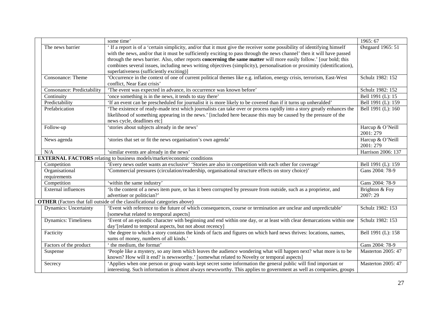|  |                              | some time'                                                                                                                                            | 1965: 67                      |
|--|------------------------------|-------------------------------------------------------------------------------------------------------------------------------------------------------|-------------------------------|
|  | The news barrier             | ' If a report is of a 'certain simplicity, and/or that it must give the receiver some possibility of identifying himself                              | Østgaard 1965: 51             |
|  |                              | with the news, and/or that it must be sufficiently exciting to pass through the news channel' then it will have passed                                |                               |
|  |                              | through the news barrier. Also, other reports <b>concerning the same matter</b> will more easily follow.' [our bold; this                             |                               |
|  |                              | combines several issues, including news writing objectives (simplicity), personalisation or proximity (identification),                               |                               |
|  |                              | superlativeness (sufficiently exciting)]                                                                                                              |                               |
|  | Consonance: Theme            | 'Occurrence in the context of one of current political themes like e.g. inflation, energy crisis, terrorism, East-West<br>conflict, Near East crisis' | Schulz 1982: 152              |
|  | Consonance: Predictability   | 'The event was expected in advance, its occurrence was known before'                                                                                  | Schulz 1982: 152              |
|  | Continuity                   | 'once something is in the news, it tends to stay there'                                                                                               | Bell 1991 (L): 15             |
|  | Predictability               | 'If an event can be prescheduled for journalist it is more likely to be covered than if it turns up unheralded'                                       | Bell 1991 (L): 159            |
|  | Prefabrication               | The existence of ready-made text which journalists can take over or process rapidly into a story greatly enhances the                                 | Bell 1991 (L): 160            |
|  |                              | likelihood of something appearing in the news.' [included here because this may be caused by the pressure of the                                      |                               |
|  |                              | news cycle, deadlines etc]                                                                                                                            |                               |
|  | Follow-up                    | 'stories about subjects already in the news'                                                                                                          | Harcup & O'Neill<br>2001: 279 |
|  | News agenda                  | 'stories that set or fit the news organisation's own agenda'                                                                                          | Harcup & O'Neill<br>2001: 279 |
|  | N/A                          | 'similar events are already in the news'                                                                                                              | Harrison 2006: 137            |
|  |                              | <b>EXTERNAL FACTORS</b> relating to business models/market/economic conditions                                                                        |                               |
|  | Competition                  | 'Every news outlet wants an exclusive' 'Stories are also in competition with each other for coverage'                                                 | Bell 1991 (L): 159            |
|  | Organisational               | 'Commercial pressures (circulation/readership, organisational structure effects on story choice)'                                                     | Gans 2004: 78-9               |
|  | requirements                 |                                                                                                                                                       |                               |
|  | Competition                  | 'within the same industry'                                                                                                                            | Gans 2004: 78-9               |
|  | <b>External influences</b>   | 'Is the content of a news item pure, or has it been corrupted by pressure from outside, such as a proprietor, and                                     | Brighton & Foy                |
|  |                              | advertiser or politician?'                                                                                                                            | 2007:29                       |
|  |                              | <b>OTHER</b> (Factors that fall outside of the classificational categories above)                                                                     |                               |
|  | <b>Dynamics: Uncertainty</b> | 'Event with reference to the future of which consequences, course or termination are unclear and unpredictable'                                       | Schulz 1982: 153              |
|  |                              | [somewhat related to temporal aspects]                                                                                                                |                               |
|  | <b>Dynamics: Timeliness</b>  | 'Event of an episodic character with beginning and end within one day, or at least with clear demarcations within one                                 | Schulz 1982: 153              |
|  |                              | day'[related to temporal aspects, but not about recency]                                                                                              |                               |
|  | Facticity                    | the degree to which a story contains the kinds of facts and figures on which hard news thrives: locations, names,                                     | Bell 1991 (L): 158            |
|  |                              | sums of money, numbers of all kinds.                                                                                                                  |                               |
|  | Factors of the product       | the medium, the format'                                                                                                                               | Gans 2004: 78-9               |
|  | Suspense                     | People like a mystery, so any item which leaves the audience wondering what will happen next? what more is to be                                      | Masterton 2005: 47            |
|  |                              | known? How will it end? is newsworthy.' [somewhat related to Novelty or temporal aspects]                                                             |                               |
|  | Secrecy                      | 'Applies when one person or group wants kept secret some information the general public will find important or                                        | <b>Masterton 2005: 47</b>     |
|  |                              | interesting. Such information is almost always newsworthy. This applies to government as well as companies, groups                                    |                               |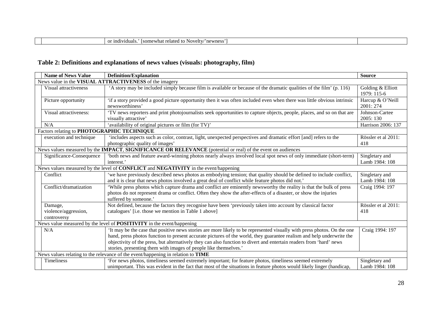| -indi<br>dividuals <sup>1</sup><br>Isomewhat<br>or<br>ovelty <sub>c</sub><br>newness<br>elated<br>,,,<br>. |  |
|------------------------------------------------------------------------------------------------------------|--|
|                                                                                                            |  |

# **Table 2: Definitions and explanations of news values (visuals: photography, film)**

|                                                                                                   | <b>Name of News Value</b>                  | <b>Definition/Explanation</b>                                                                                                                                                                                                                                                                                                                                                                                                              | <b>Source</b>                    |
|---------------------------------------------------------------------------------------------------|--------------------------------------------|--------------------------------------------------------------------------------------------------------------------------------------------------------------------------------------------------------------------------------------------------------------------------------------------------------------------------------------------------------------------------------------------------------------------------------------------|----------------------------------|
|                                                                                                   |                                            | News value in the VISUAL ATTRACTIVENESS of the imagery                                                                                                                                                                                                                                                                                                                                                                                     |                                  |
|                                                                                                   | Visual attractiveness                      | 'A story may be included simply because film is available or because of the dramatic qualities of the film' (p. 116)                                                                                                                                                                                                                                                                                                                       | Golding & Elliott<br>1979: 115-6 |
|                                                                                                   | Picture opportunity                        | 'if a story provided a good picture opportunity then it was often included even when there was little obvious intrinsic<br>newsworthiness'                                                                                                                                                                                                                                                                                                 | Harcup & O'Neill<br>2001:274     |
|                                                                                                   | Visual attractiveness:                     | 'TV news reporters and print photojournalists seek opportunities to capture objects, people, places, and so on that are<br>visually attractive'                                                                                                                                                                                                                                                                                            | Johnson-Cartee<br>2005: 130      |
|                                                                                                   | N/A                                        | 'availability of original pictures or film (for TV)'                                                                                                                                                                                                                                                                                                                                                                                       | Harrison 2006: 137               |
|                                                                                                   | Factors relating to PHOTOGRAPHIC TECHNIQUE |                                                                                                                                                                                                                                                                                                                                                                                                                                            |                                  |
|                                                                                                   | execution and technique                    | 'includes aspects such as color, contrast, light, unexpected perspectives and dramatic effort [and] refers to the<br>photographic quality of images'                                                                                                                                                                                                                                                                                       | Rössler et al 2011:<br>418       |
|                                                                                                   |                                            | News values measured by the <b>IMPACT</b> , <b>SIGNIFICANCE OR RELEVANCE</b> (potential or real) of the event on audiences                                                                                                                                                                                                                                                                                                                 |                                  |
|                                                                                                   | Significance-Consequence                   | 'both news and feature award-winning photos nearly always involved local spot news of only immediate (short-term)<br>interest.'                                                                                                                                                                                                                                                                                                            | Singletary and<br>Lamb 1984: 108 |
| News values measured by the level of <b>CONFLICT</b> and <b>NEGATIVITY</b> in the event/happening |                                            |                                                                                                                                                                                                                                                                                                                                                                                                                                            |                                  |
|                                                                                                   | Conflict                                   | 'we have previously described news photos as embodying tension; that quality should be defined to include conflict,<br>and it is clear that news photos involved a great deal of conflict while feature photos did not.'                                                                                                                                                                                                                   | Singletary and<br>Lamb 1984: 108 |
|                                                                                                   | Conflict/dramatization                     | 'While press photos which capture drama and conflict are eminently newsworthy the reality is that the bulk of press<br>photos do not represent drama or conflict. Often they show the after-effects of a disaster, or show the injuries<br>suffered by someone.'                                                                                                                                                                           | Craig 1994: 197                  |
|                                                                                                   | Damage,                                    | Not defined, because the factors they recognise have been 'previously taken into account by classical factor                                                                                                                                                                                                                                                                                                                               | Rössler et al 2011:              |
|                                                                                                   | violence/aggression,<br>controversy        | catalogues' [i.e. those we mention in Table 1 above]                                                                                                                                                                                                                                                                                                                                                                                       | 418                              |
|                                                                                                   |                                            | News value measured by the level of <b>POSITIVITY</b> in the event/happening                                                                                                                                                                                                                                                                                                                                                               |                                  |
|                                                                                                   | N/A                                        | It may be the case that positive news stories are more likely to be represented visually with press photos. On the one<br>hand, press photos function to present accurate pictures of the world, they guarantee realism and help underwrite the<br>objectivity of the press, but alternatively they can also function to divert and entertain readers from 'hard' news<br>stories, presenting them with images of people like themselves.' | Craig 1994: 197                  |
|                                                                                                   |                                            | News values relating to the relevance of the event/happening in relation to TIME                                                                                                                                                                                                                                                                                                                                                           |                                  |
|                                                                                                   | Timeliness                                 | 'For news photos, timeliness seemed extremely important; for feature photos, timeliness seemed extremely<br>unimportant. This was evident in the fact that most of the situations in feature photos would likely linger (handicap,                                                                                                                                                                                                         | Singletary and<br>Lamb 1984: 108 |